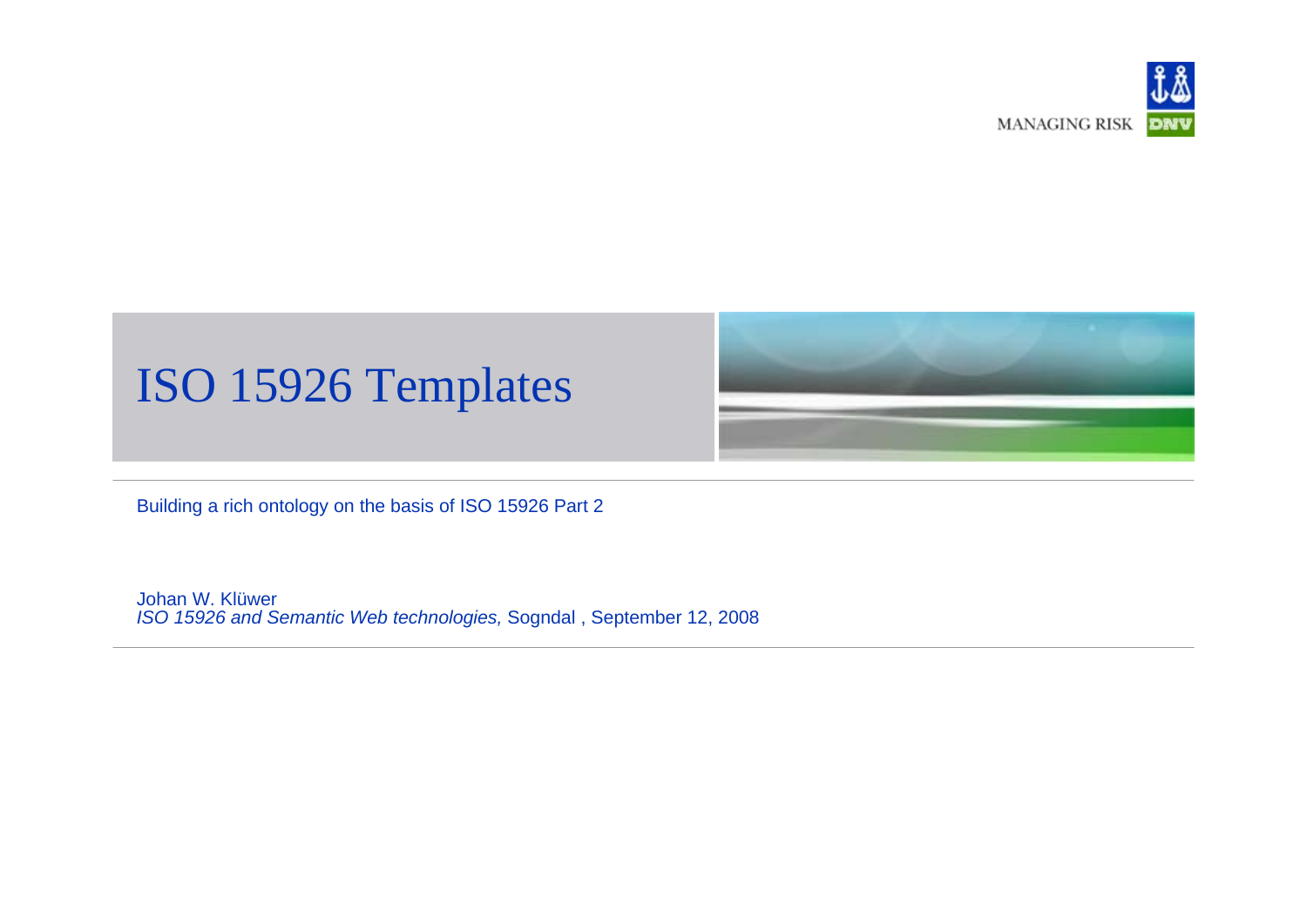

#### ISO 15926 Templates

Building a rich ontology on the basis of ISO 15926 Part 2

Johan W. Klüwer*ISO 15926 and Semantic Web technologies,* Sogndal , September 12, 2008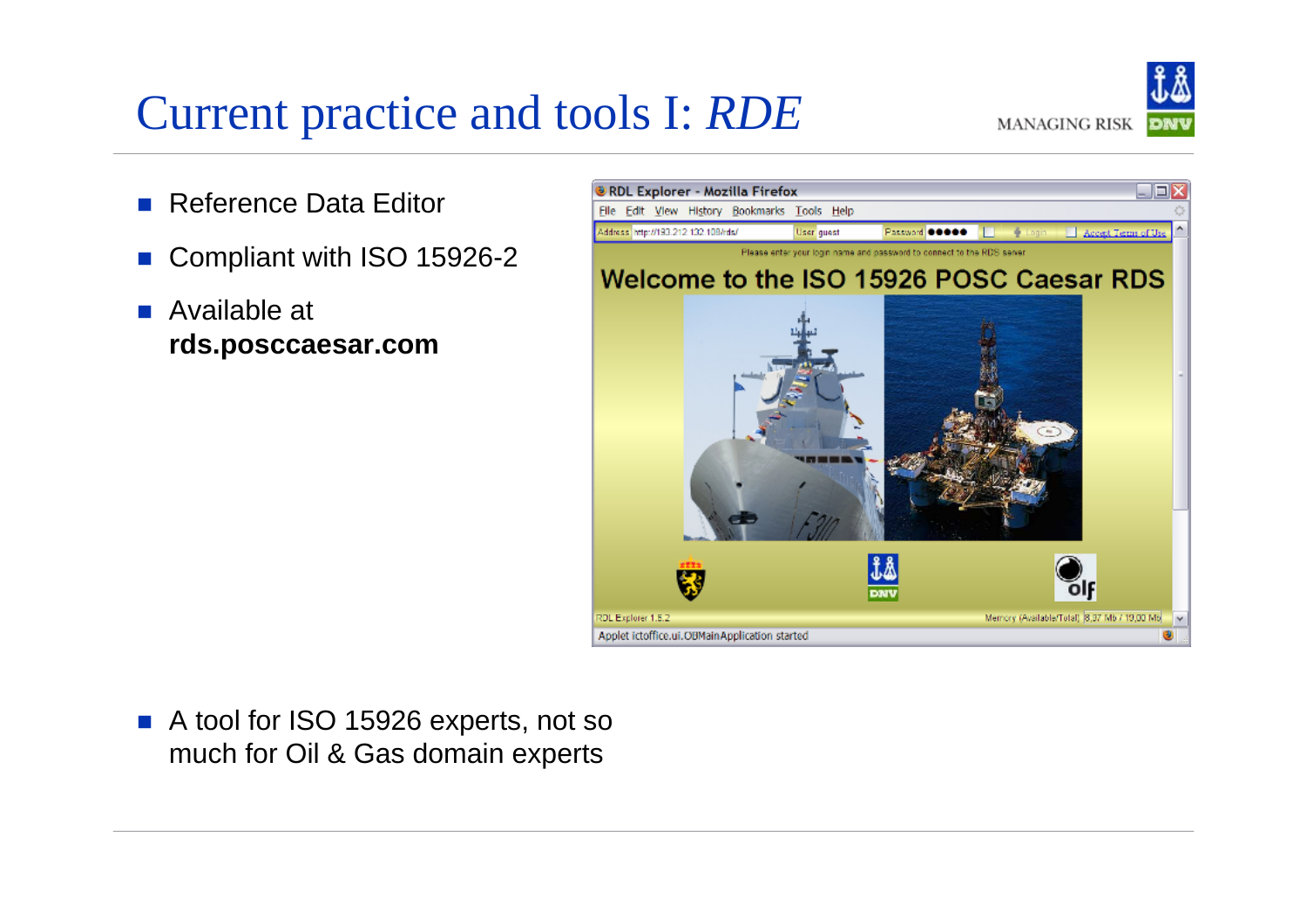### Current practice and tools I: *RDE*

**MANAGING RISK** 

- П Reference Data Editor
- П Compliant with ISO 15926-2
- Available at **rds.posccaesar.com**



 $\mathcal{L}^{\mathcal{A}}$  A tool for ISO 15926 experts, not so much for Oil & Gas domain experts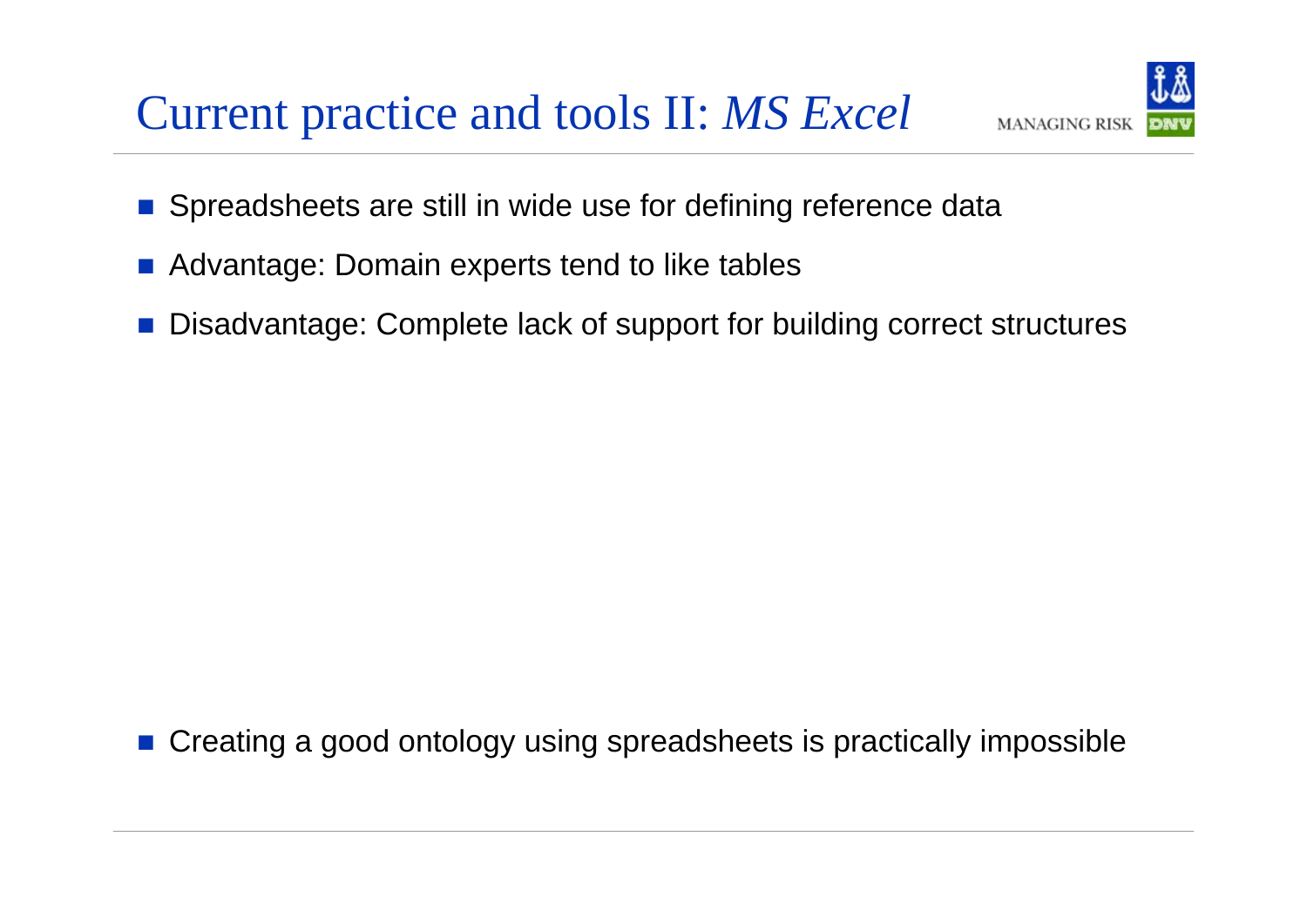#### Current practice and tools II: *MS Excel*



- $\mathbb{R}^3$ Spreadsheets are still in wide use for defining reference data
- $\mathbb{R}^2$ Advantage: Domain experts tend to like tables
- Disadvantage: Complete lack of support for building correct structures

b. Creating a good ontology using spreadsheets is practically impossible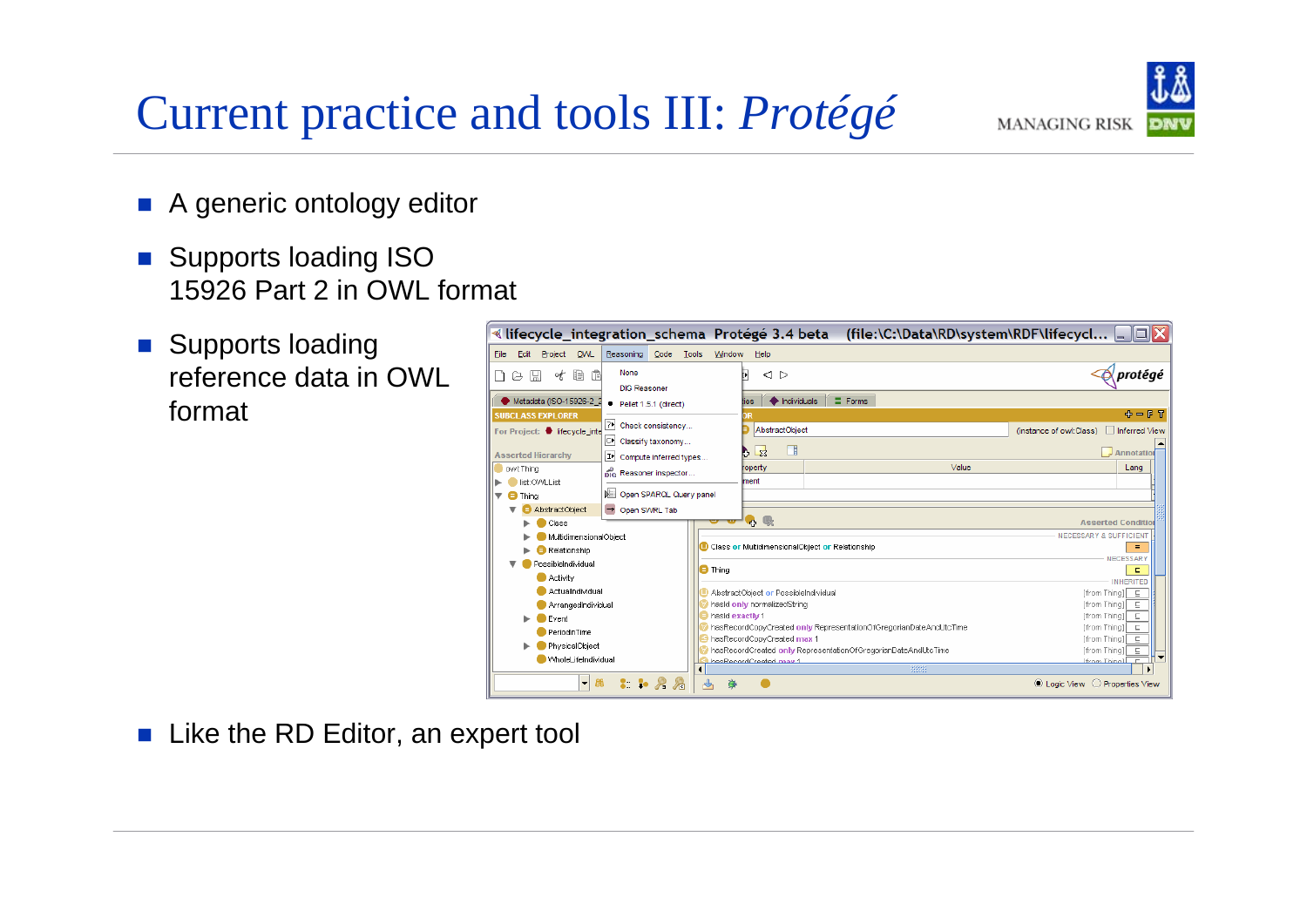### Current practice and tools III: *Protégé*



- **A** generic ontology editor
- $\left\Vert \cdot\right\Vert$  Supports loading ISO 15926 Part 2 in OWL format
- **Supports loading** reference data in OWL format

| ≪ lifecycle_integration_schema Protege 3.4 beta                                                             | (file:\C:\Data\RD\system\RDF\lifecycl  _   □  X                                                                    |                                                                              |
|-------------------------------------------------------------------------------------------------------------|--------------------------------------------------------------------------------------------------------------------|------------------------------------------------------------------------------|
| Code<br>OVVL<br>Reasoning<br>Edit<br>Project<br>File                                                        | Tools<br>Window<br>Help                                                                                            |                                                                              |
| None<br>信<br>₽<br>۰ŧ<br>ĸ<br>こ<br><b>DIG Reasoner</b>                                                       | Þ<br>⊲ ⊳                                                                                                           | protégé                                                                      |
| Metadata (ISO-15926-2_2<br>$\bullet$ Pellet 1.5.1 (direct)                                                  | $\equiv$ Forms<br>Individuals<br>lies                                                                              |                                                                              |
| <b>SUBCLASS EXPLORER</b><br>2* Check consistency<br>For Project: lifecycle inte<br>∣C⊁<br>Classify taxonomy | <b>AbstractObiect</b>                                                                                              | 中一日日<br>(instance of owl:Class)<br>Inferred View                             |
| <b>Asserted Hierarchy</b><br>IÞ.<br>Compute inferred types                                                  | Ŧ<br>-23                                                                                                           | $\sqrt{\mathsf{A}}$ Annotation                                               |
| owt:Thina<br>nic Reasoner inspector                                                                         | Value<br>roperty                                                                                                   | Lang                                                                         |
| list: OWLList<br>Open SPARQL Query panel<br>$\blacksquare$ Thing                                            | ment                                                                                                               |                                                                              |
| <b>AbstractObject</b><br>→ Open SWRL Tab<br>Class                                                           | 中國                                                                                                                 | <b>Asserted Condition</b>                                                    |
| MultidimensionalObiect<br>Relationship                                                                      | Class or MultidimensionalObject or Relationship                                                                    | <b>NECESSARY &amp; SUFFICIENT</b><br>$\equiv$<br>NECESSARY                   |
| PossibleIndividual<br><b>Activity</b>                                                                       | <b>O</b> Thing                                                                                                     | Е<br><b>INHERITED</b>                                                        |
| <b>ActualIndividual</b><br>ArrangedIndividual                                                               | AbstractObiect or PossibleIndividual<br>hasid only normalizedString                                                | [from Thing]   ⊑<br>[from Thing]]<br>三                                       |
| Event<br>PeriodInTime                                                                                       | hasid exactiv 1<br>hasRecordCopyCreated only RepresentationOfGregorianDateAndUtcTime<br>hasRecordCopyCreated max 1 | [from Thing]]<br><b>E</b><br>[from Thing]]<br>- 드<br>[from Thing]]<br>$\Box$ |
| PhysicalObject<br>WholeLifeIndividual                                                                       | hasRecordCreated only RepresentationOfGregorianDateAndUtcTime<br>hasRecordCreated may 1<br>8888                    | [from Thina]]<br>Е<br>Ifrom Thinal<br>$\Gamma$                               |
| B <sub>0</sub><br>$\blacksquare$                                                                            | ∾<br>Θ                                                                                                             | ◎ Logic View ○ Properties View                                               |

 $\mathcal{L}_{\mathcal{A}}$ Like the RD Editor, an expert tool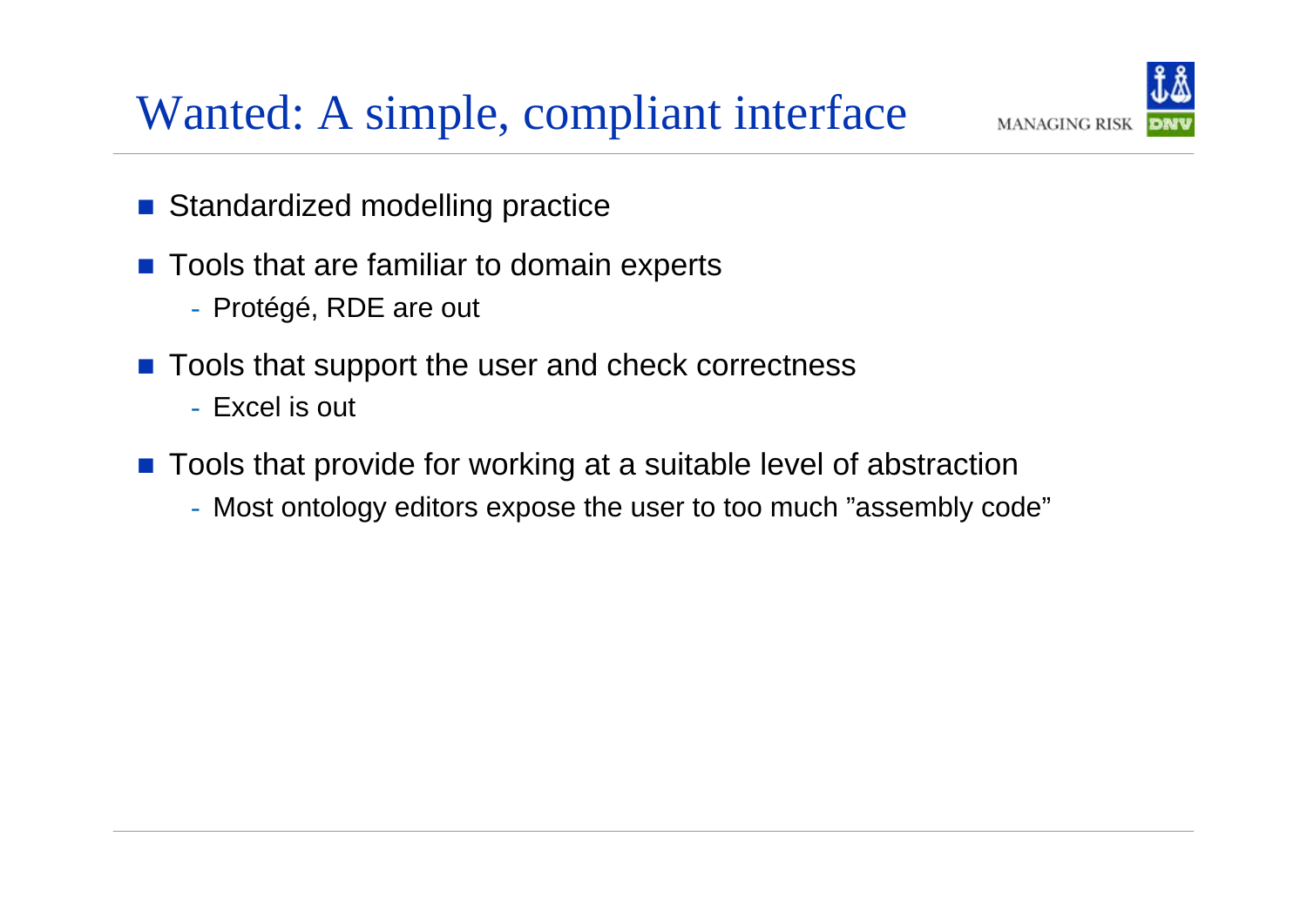

# Wanted: A simple, compliant interface

- $\left\vert \psi_{\pm}\right\rangle$ Standardized modelling practice
- $\mathbb{R}^2$  Tools that are familiar to domain experts
	- Protégé, RDE are out
- $\left\vert \cdot\right\vert$  Tools that support the user and check correctness
	- Excel is out
- $\begin{bmatrix} 1 \\ 1 \end{bmatrix}$  Tools that provide for working at a suitable level of abstraction
	- Most ontology editors expose the user to too much "assembly code"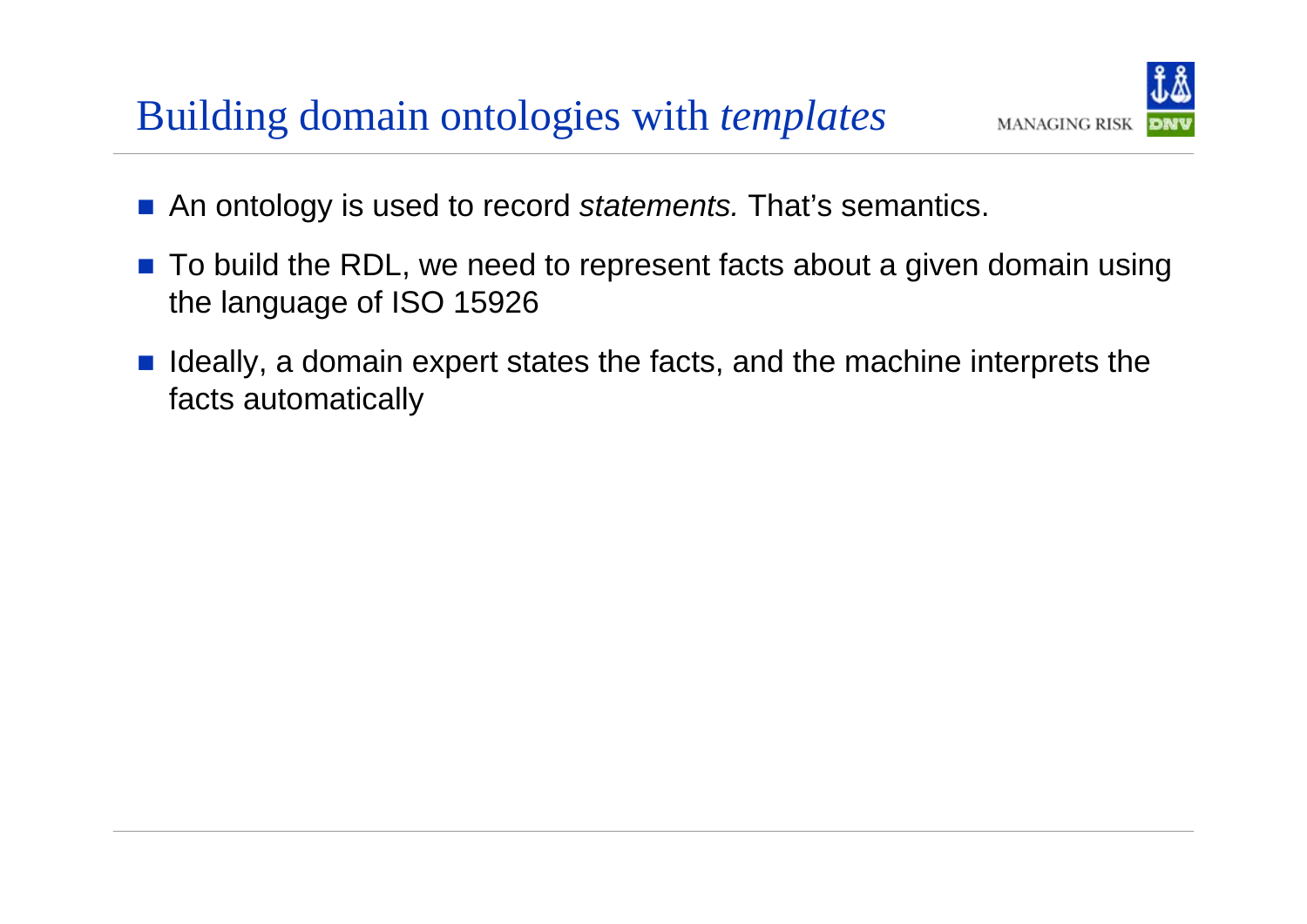#### Building domain ontologies with *templates*



- $\|\cdot\|$ An ontology is used to record *statements.* That's semantics.
- $\mathbb{R}^2$  To build the RDL, we need to represent facts about a given domain using the language of ISO 15926
- $\mathcal{L}^{\text{max}}_{\text{max}}$  Ideally, a domain expert states the facts, and the machine interprets the facts automatically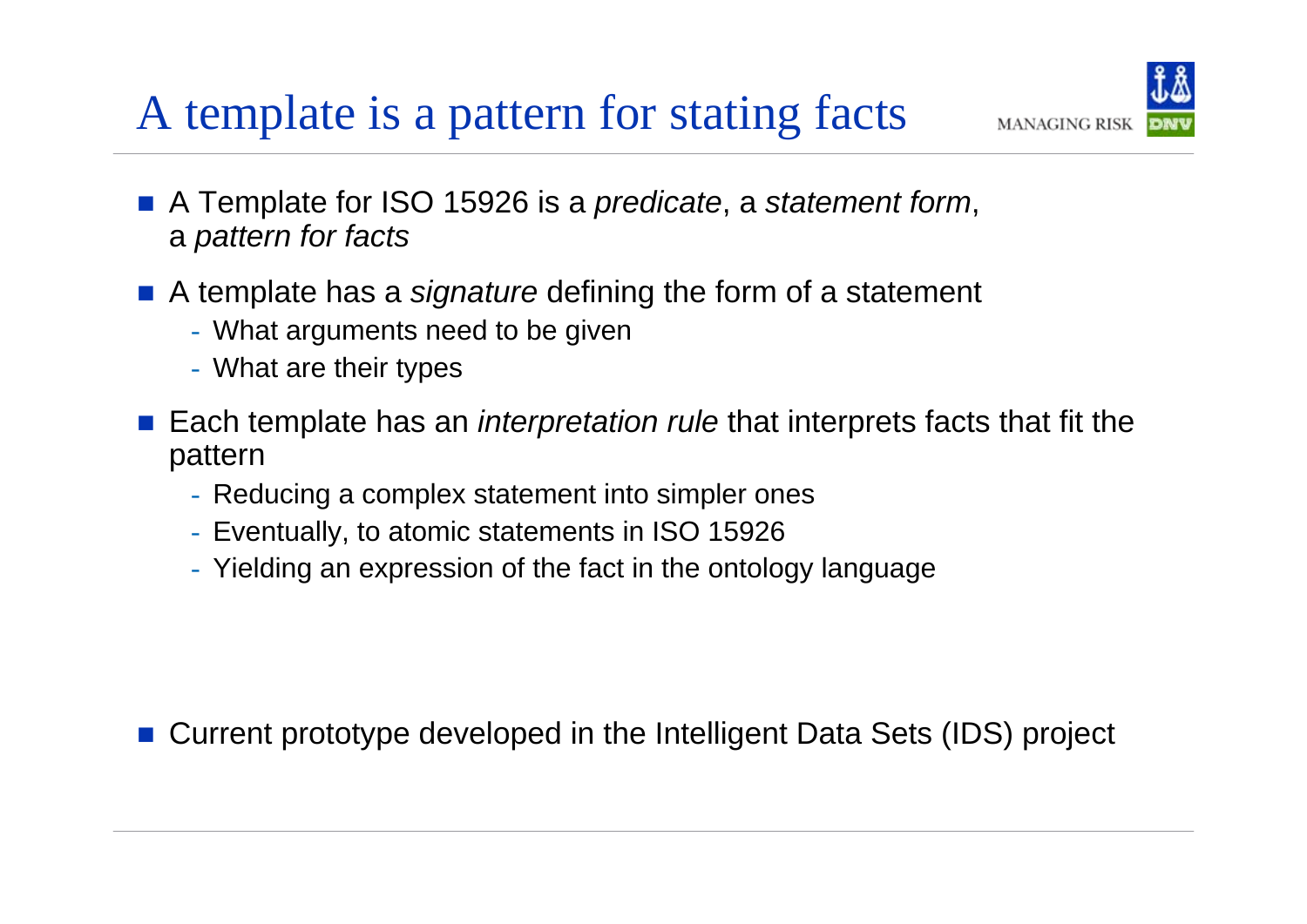# A template is a pattern for stating facts

- A Template for ISO 15926 is a *predicate*, a *statement form*, <sup>a</sup>*pattern for facts*
- A template has a *signature* defining the form of a statement
	- What arguments need to be given
	- What are their types
- $\mathbb{R}^3$  Each template has an *interpretation rule* that interprets facts that fit the pattern

**MANAGING RISK** 

- Reducing a complex statement into simpler ones
- Eventually, to atomic statements in ISO 15926
- Yielding an expression of the fact in the ontology language

b. Current prototype developed in the Intelligent Data Sets (IDS) project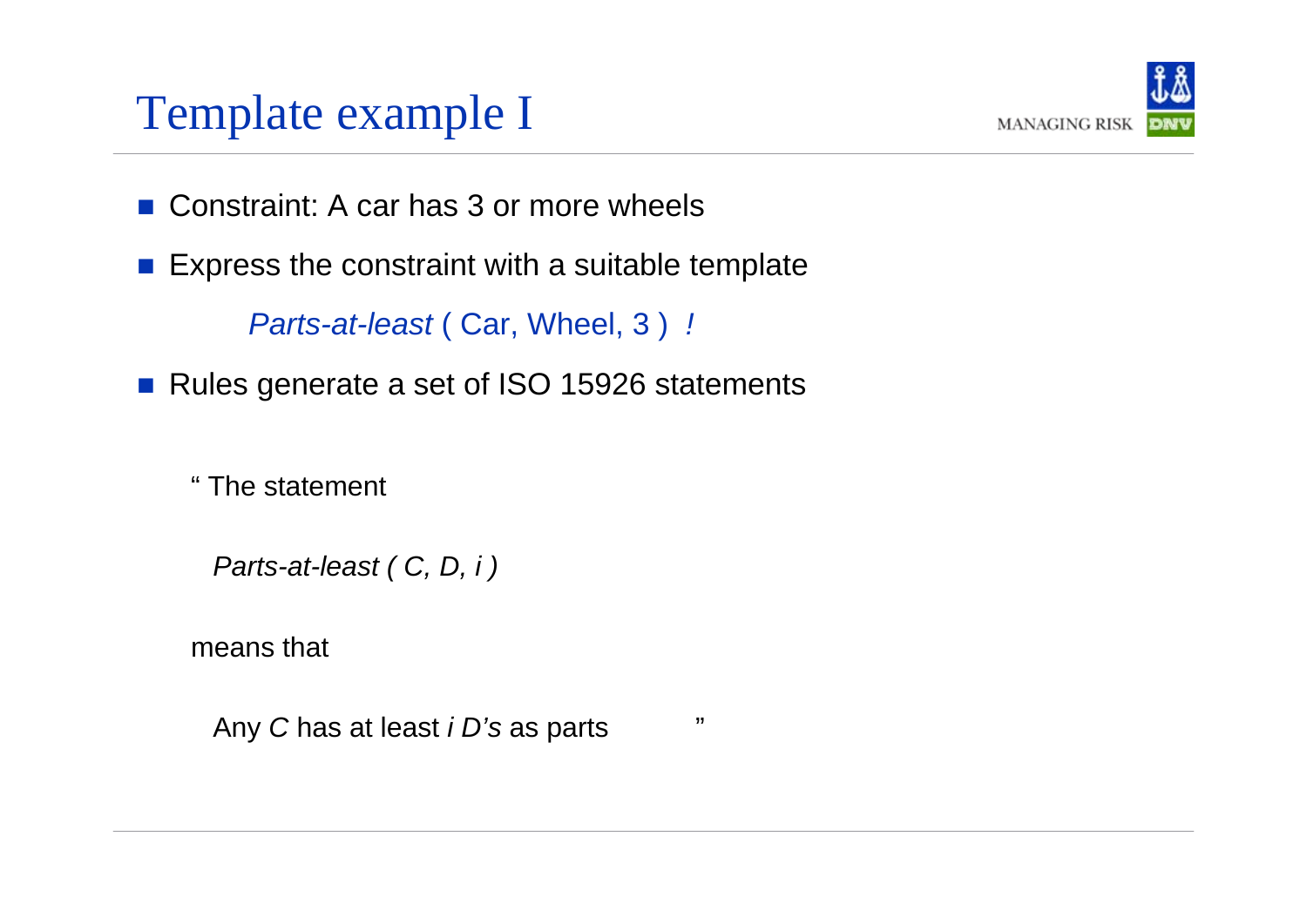#### Template example I



- Constraint: A car has 3 or more wheels
- $\mathcal{O}(\mathbb{R}^d)$ Express the constraint with a suitable template

*Parts-at-least* ( Car, Wheel, 3 ) *!*

 $\left\vert \cdot\right\vert$ Rules generate a set of ISO 15926 statements

" The statement

*Parts-at-least ( C, D, i )*

means that

Any *C* has at least *i D's* as parts "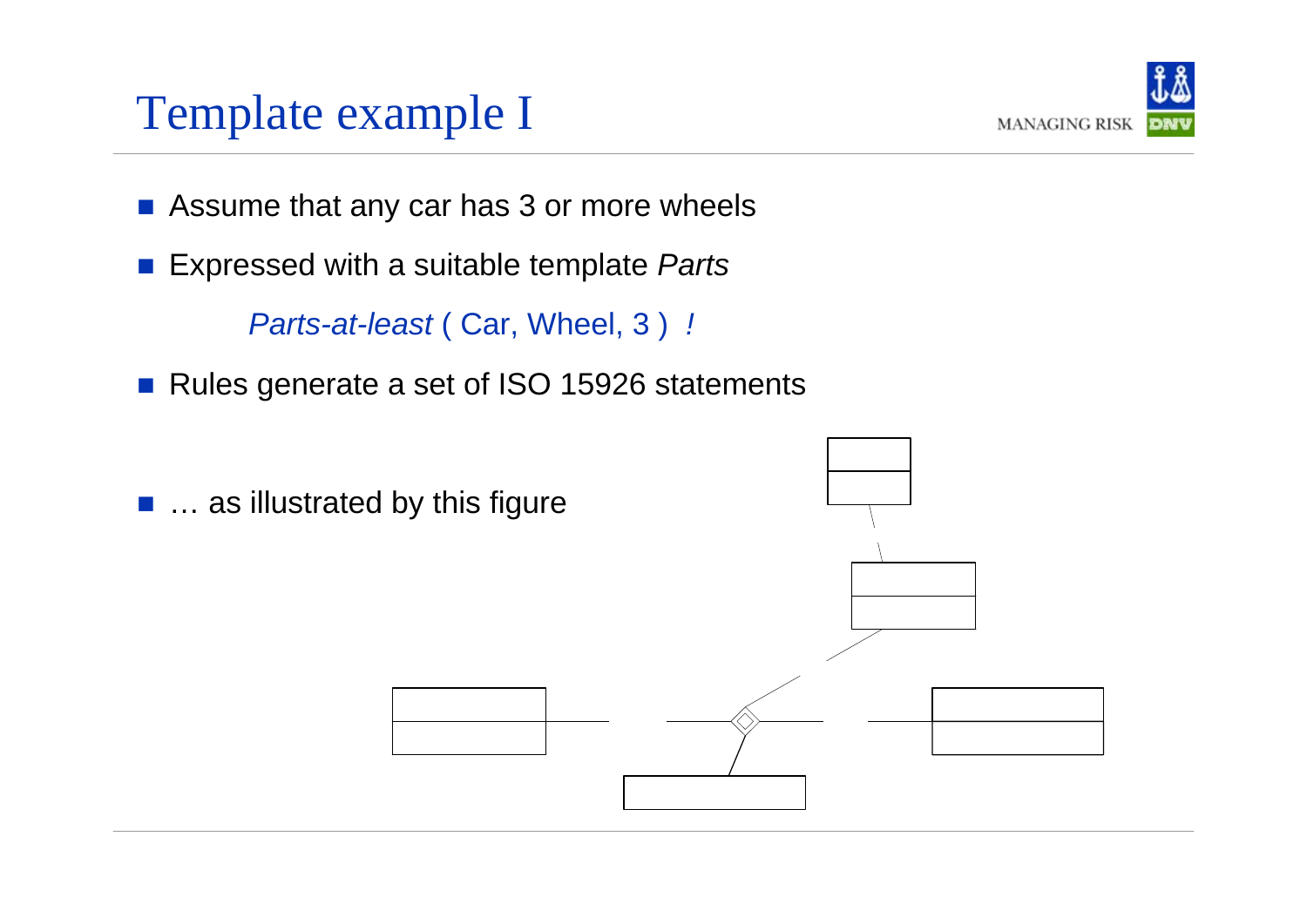#### Template example I



- $\|\cdot\|$ Assume that any car has 3 or more wheels
- $\mathbb{R}^2$ Expressed with a suitable template *Parts*

*Parts-at-least* ( Car, Wheel, 3 ) *!*

- $\left\vert \cdot\right\vert$ Rules generate a set of ISO 15926 statements
- ... as illustrated by this figure

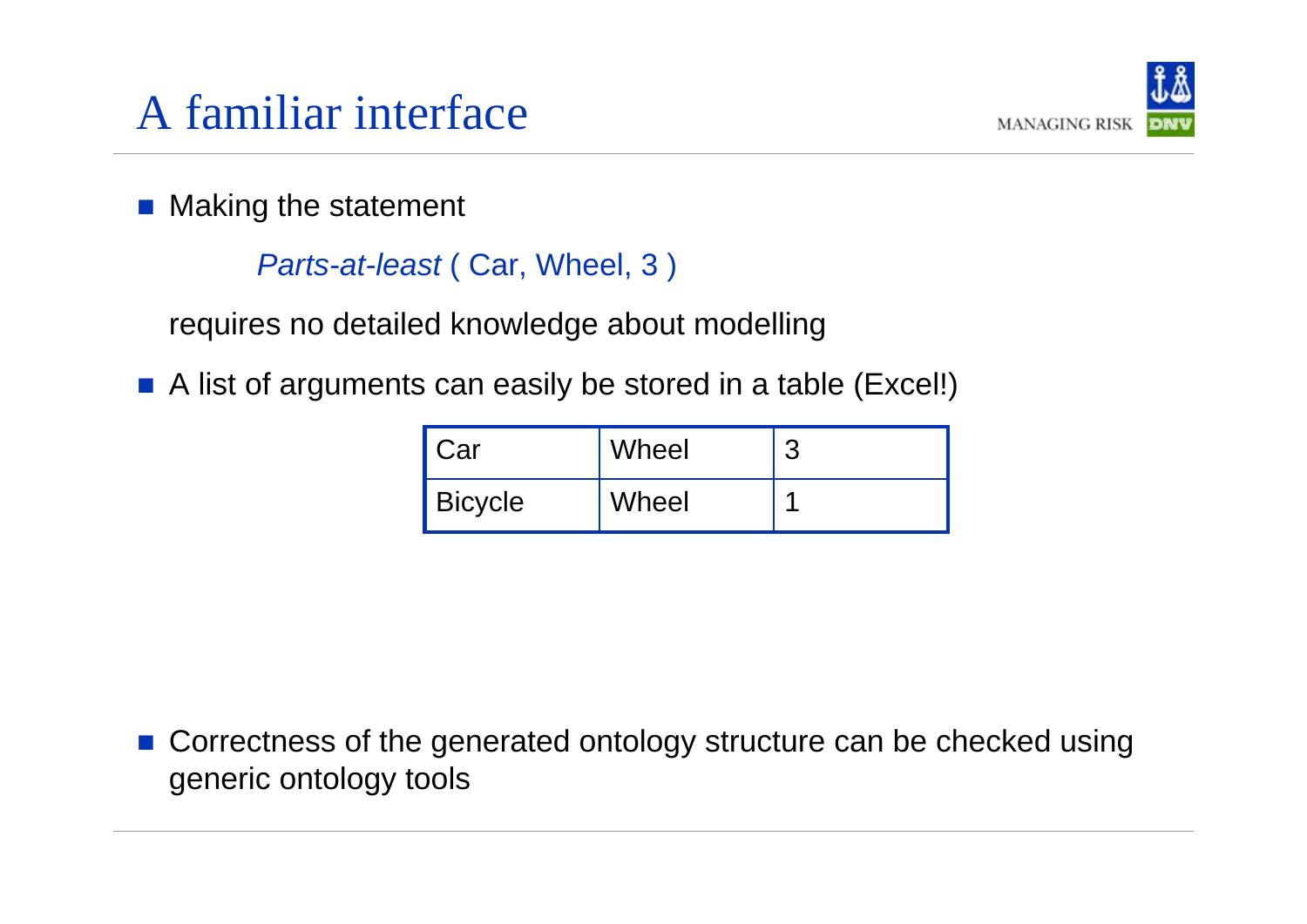

 $\left\vert \cdot\right\vert$ Making the statement

```
Parts-at-least ( Car, Wheel, 3 )
```
requires no detailed knowledge about modelling

 $\mathcal{O}(\mathbb{R}^d)$ A list of arguments can easily be stored in a table (Excel!)

| I Car          | Wheel | n |
|----------------|-------|---|
| <b>Bicycle</b> | Wheel |   |

b. Correctness of the generated ontology structure can be checked using generic ontology tools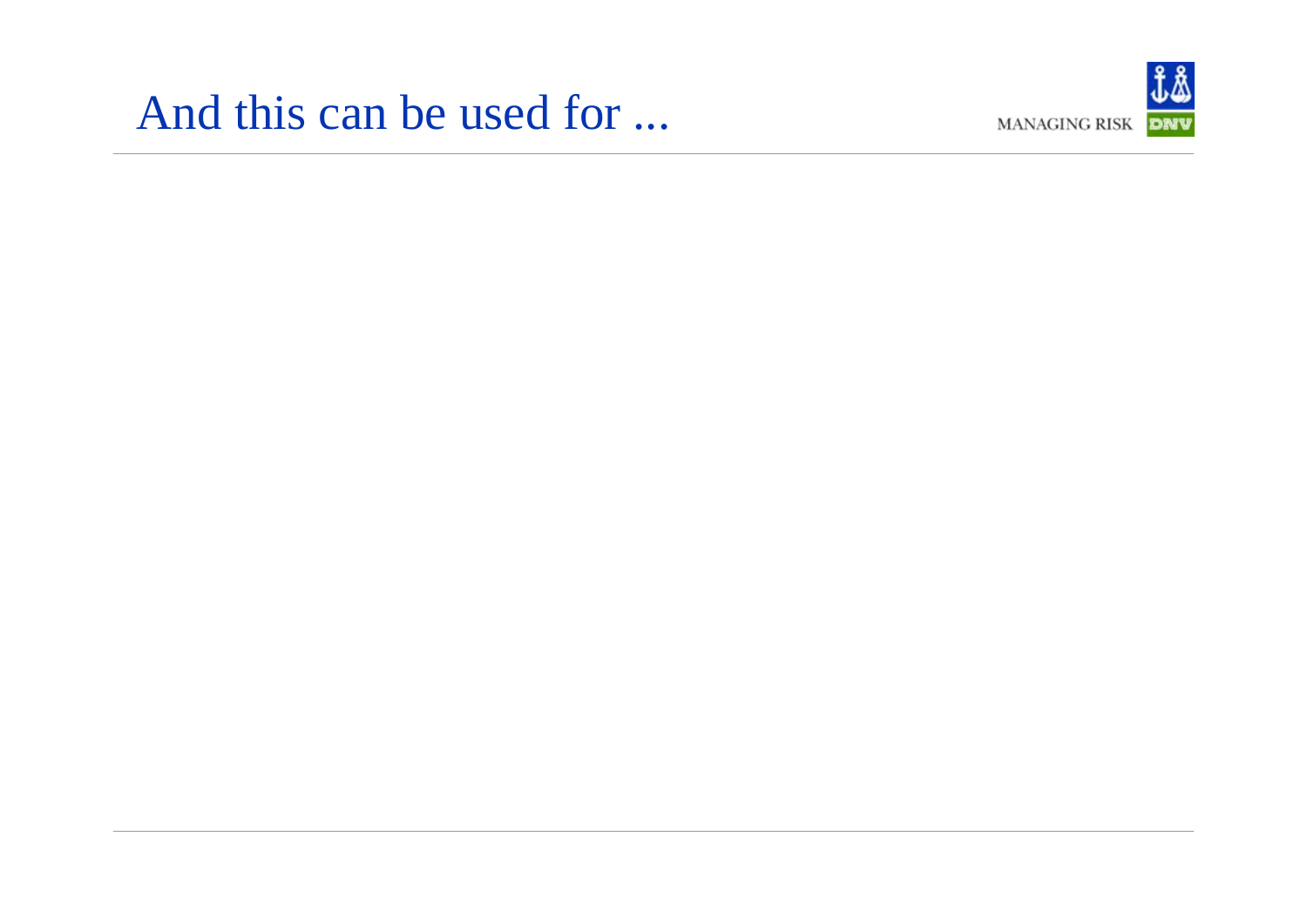#### And this can be used for ...

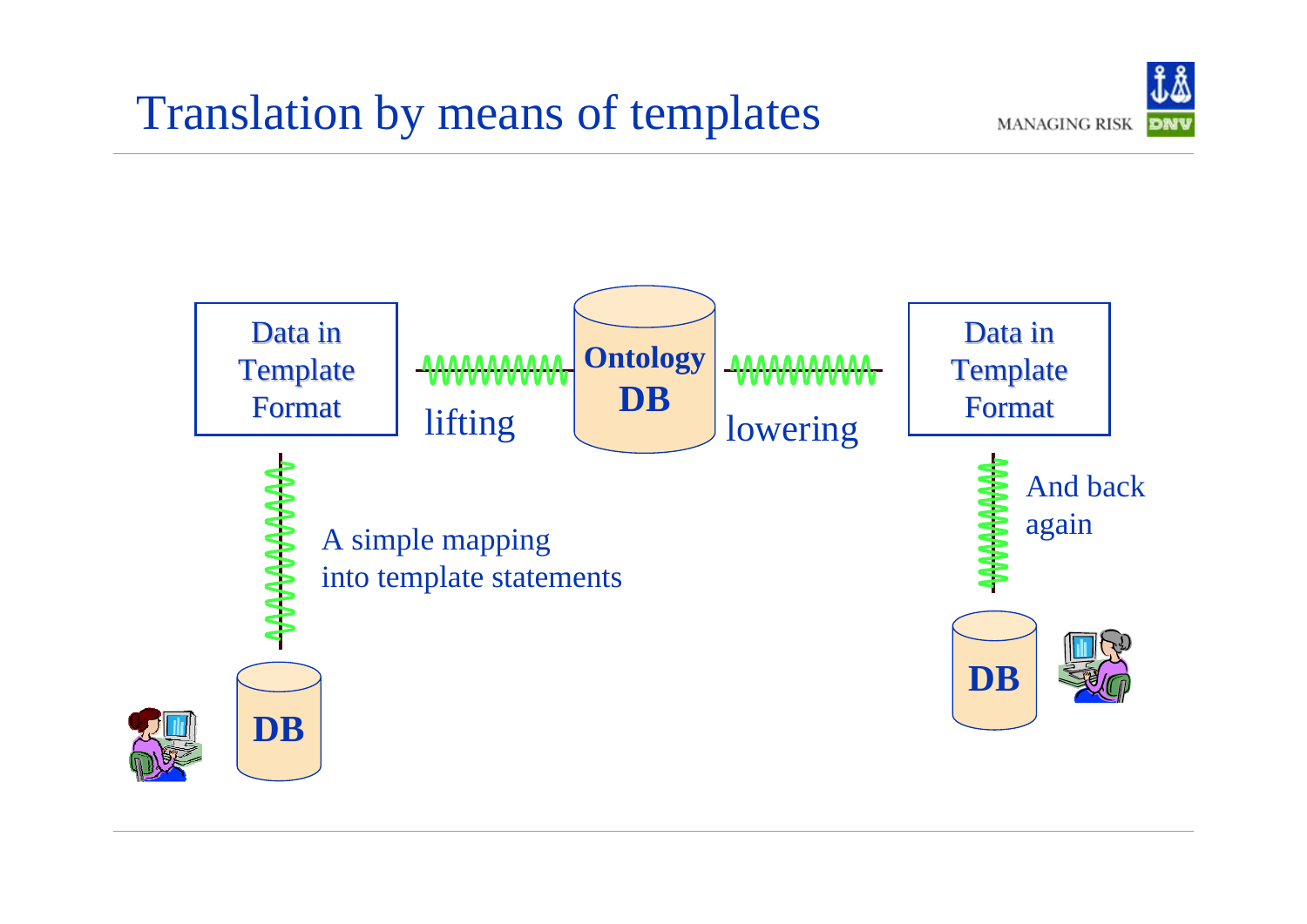### Translation by means of templates



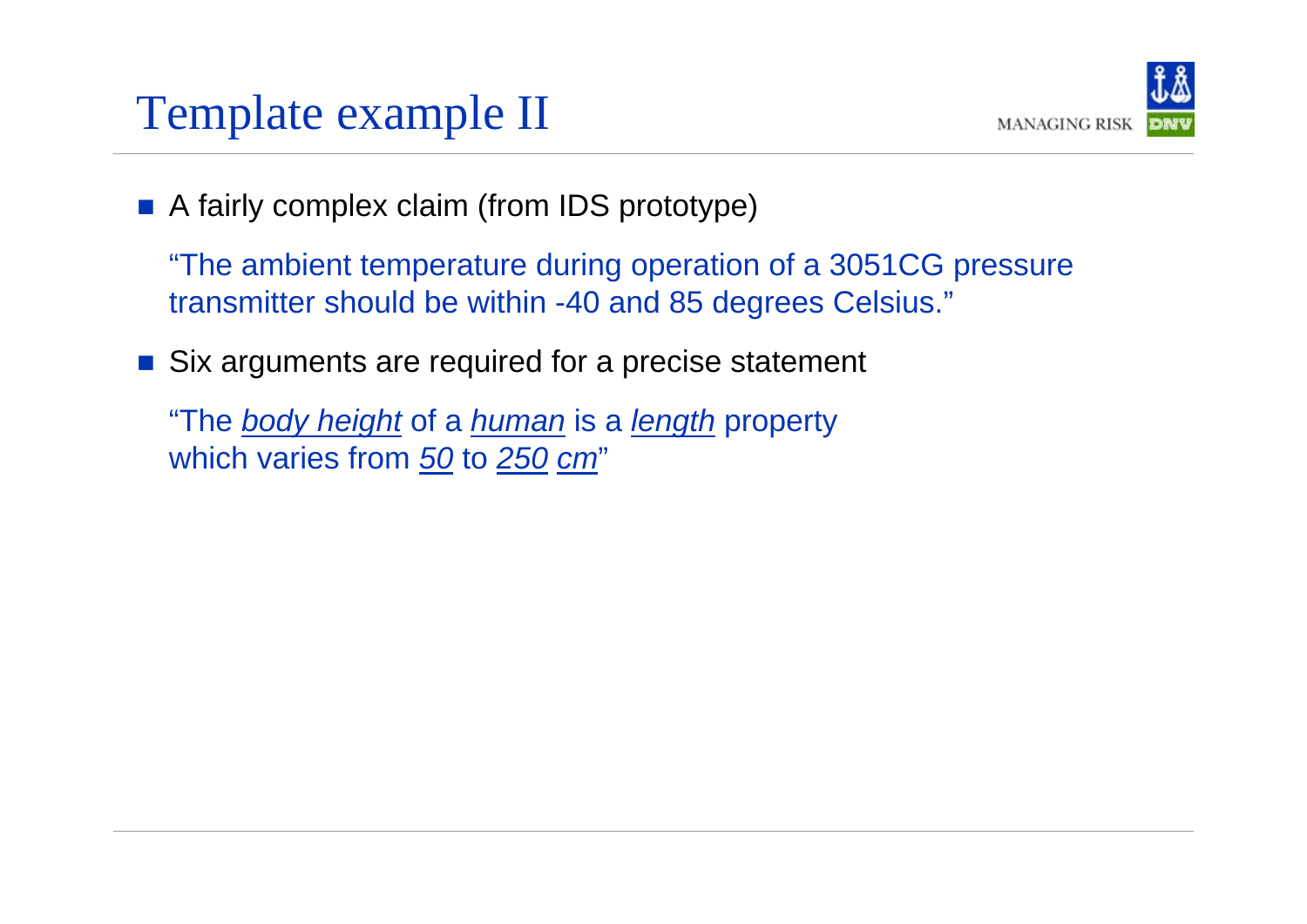#### Template example II



**A** fairly complex claim (from IDS prototype)

"The ambient temperature during operation of a 3051CG pressure transmitter should be within -40 and 85 degrees Celsius."

Six arguments are required for a precise statement

"The *body height* of a *human* is a *length* property which varies from *50* to *250 cm* "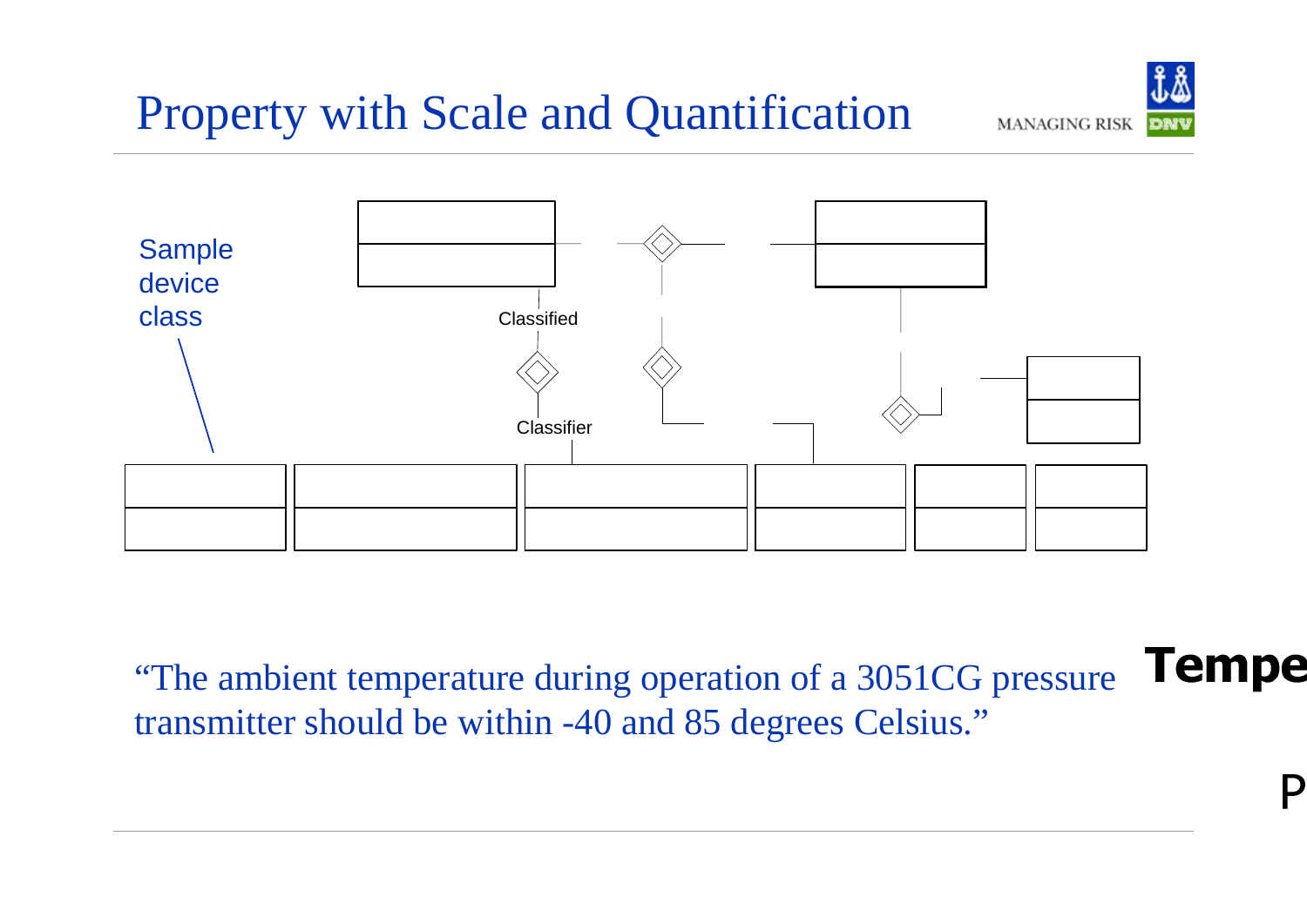## Property with Scale and Quantification



**Tel** "The ambient temperature during operation of a 3051CG pressure transmitter should be within -40 and 85 degrees Celsius."

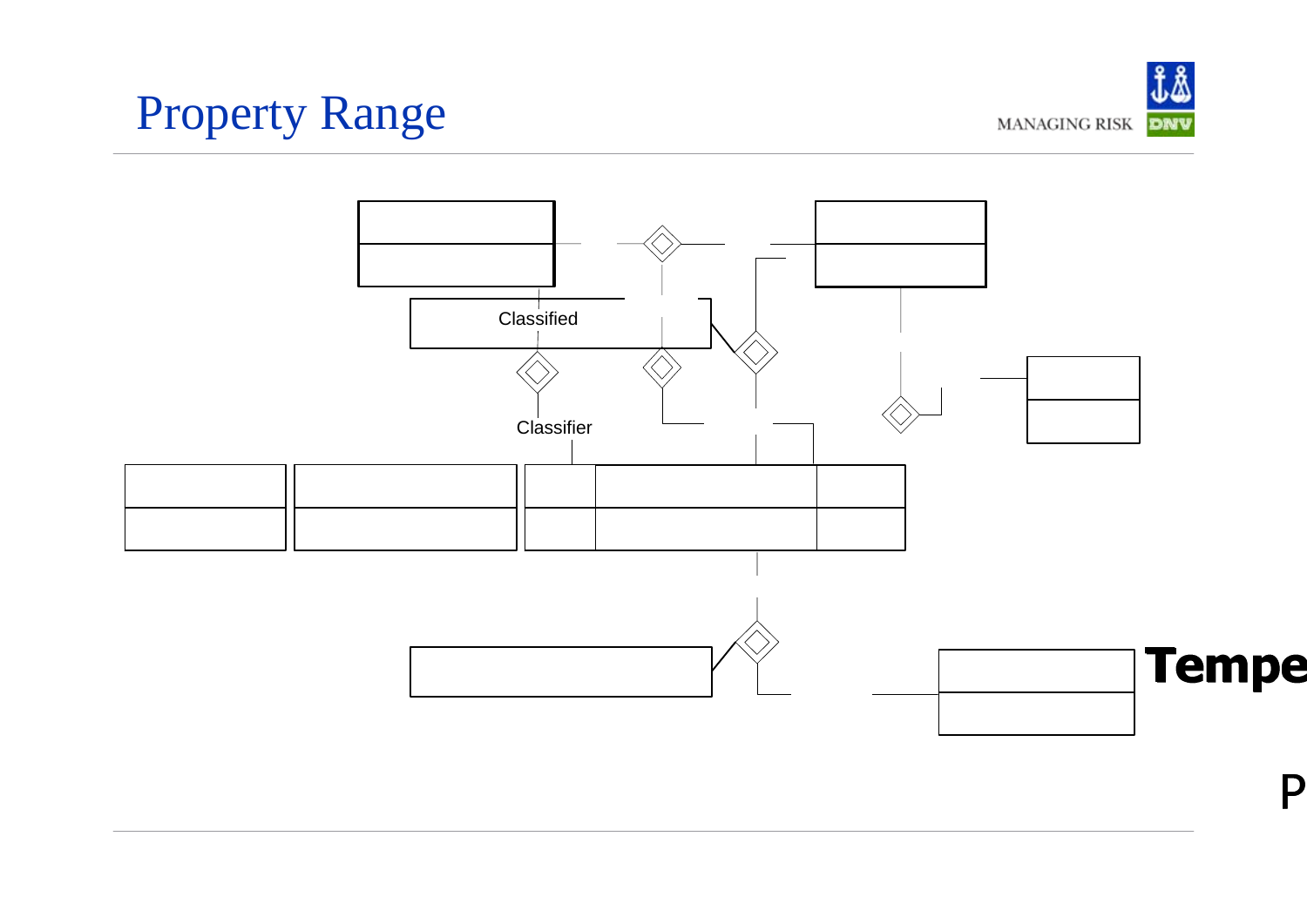# Property Range



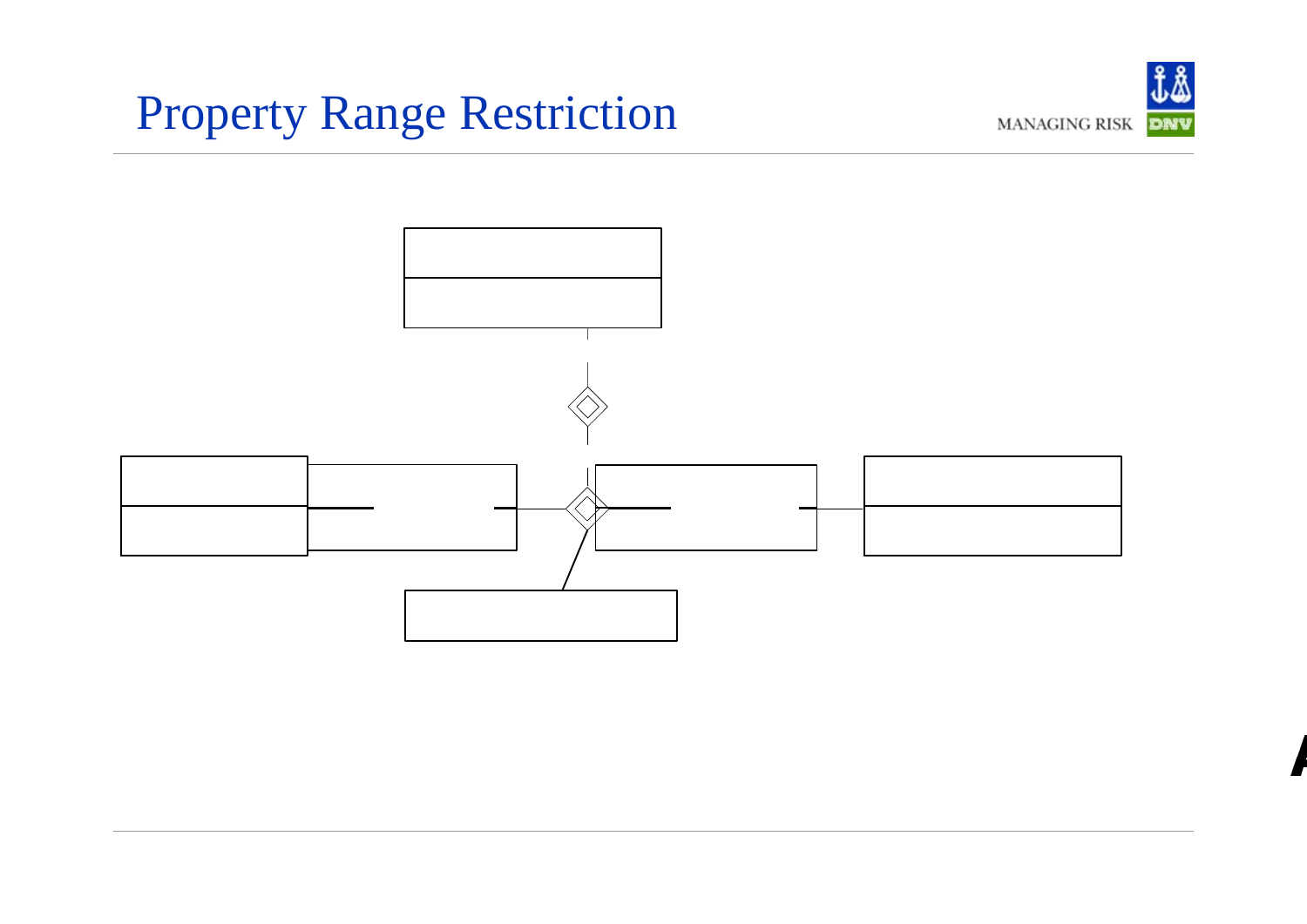# Property Range Restriction



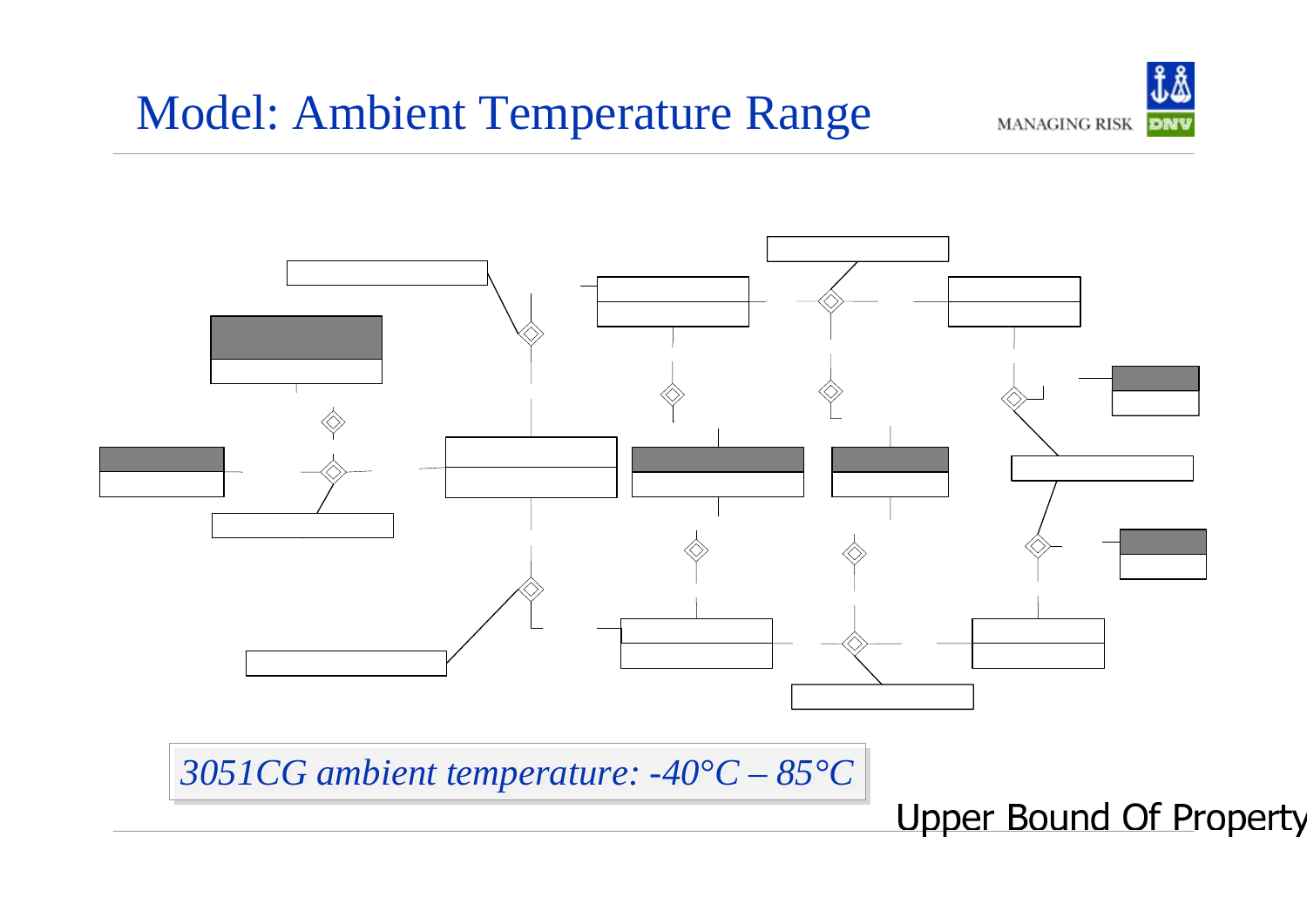#### Model: Ambient Temperature Range





*3051CG ambient temperature: -40°C – 3051CG ambient temperature: -40°C – 85°C 85°C*

Upper Bound Of Pro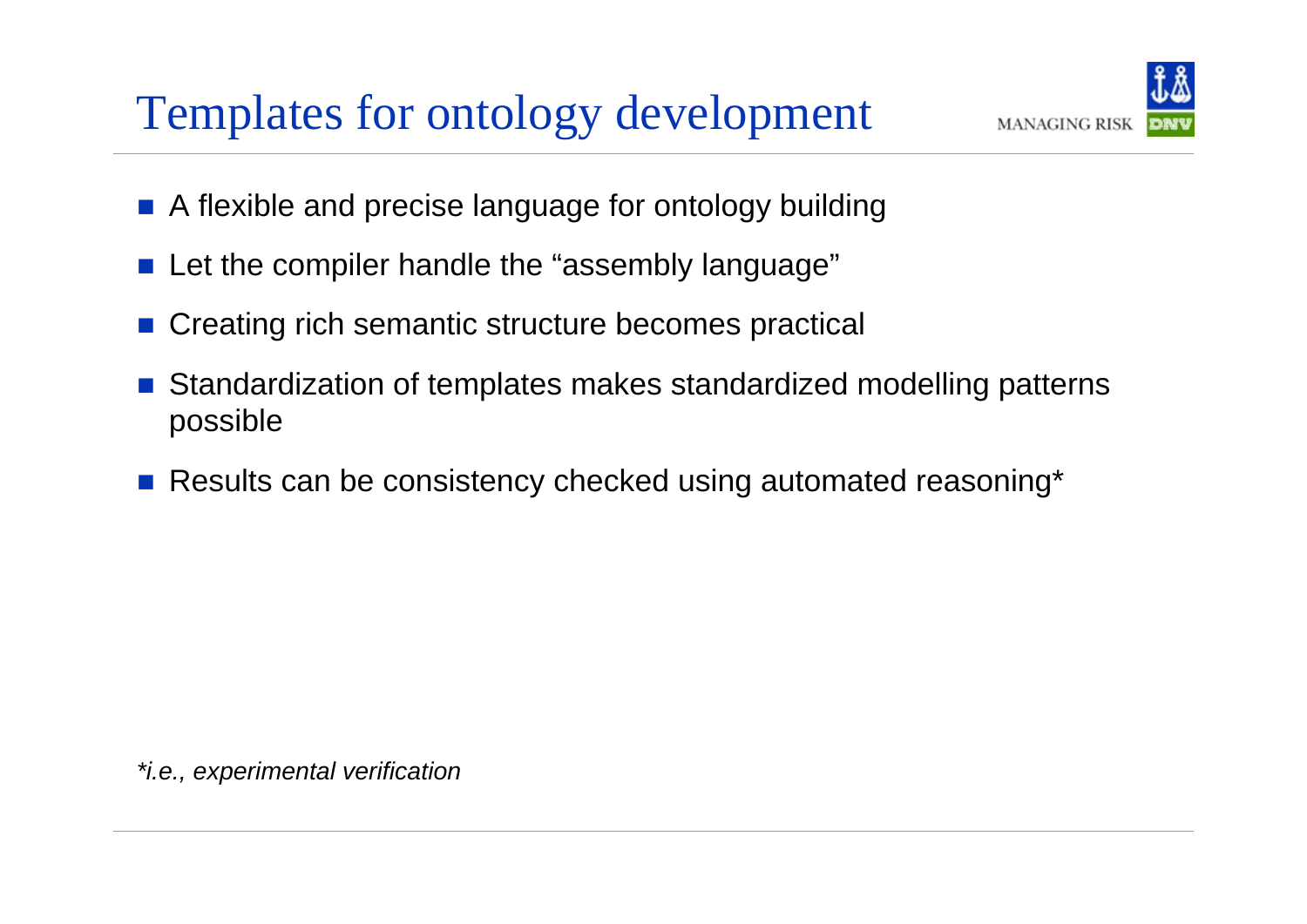#### Templates for ontology development



- $\mathbb{R}^3$ A flexible and precise language for ontology building
- $\mathbb{R}^2$ Let the compiler handle the "assembly language"
- Creating rich semantic structure becomes practical
- Standardization of templates makes standardized modelling patterns possible
- b. Results can be consistency checked using automated reasoning\*

*\*i.e., experimental verification*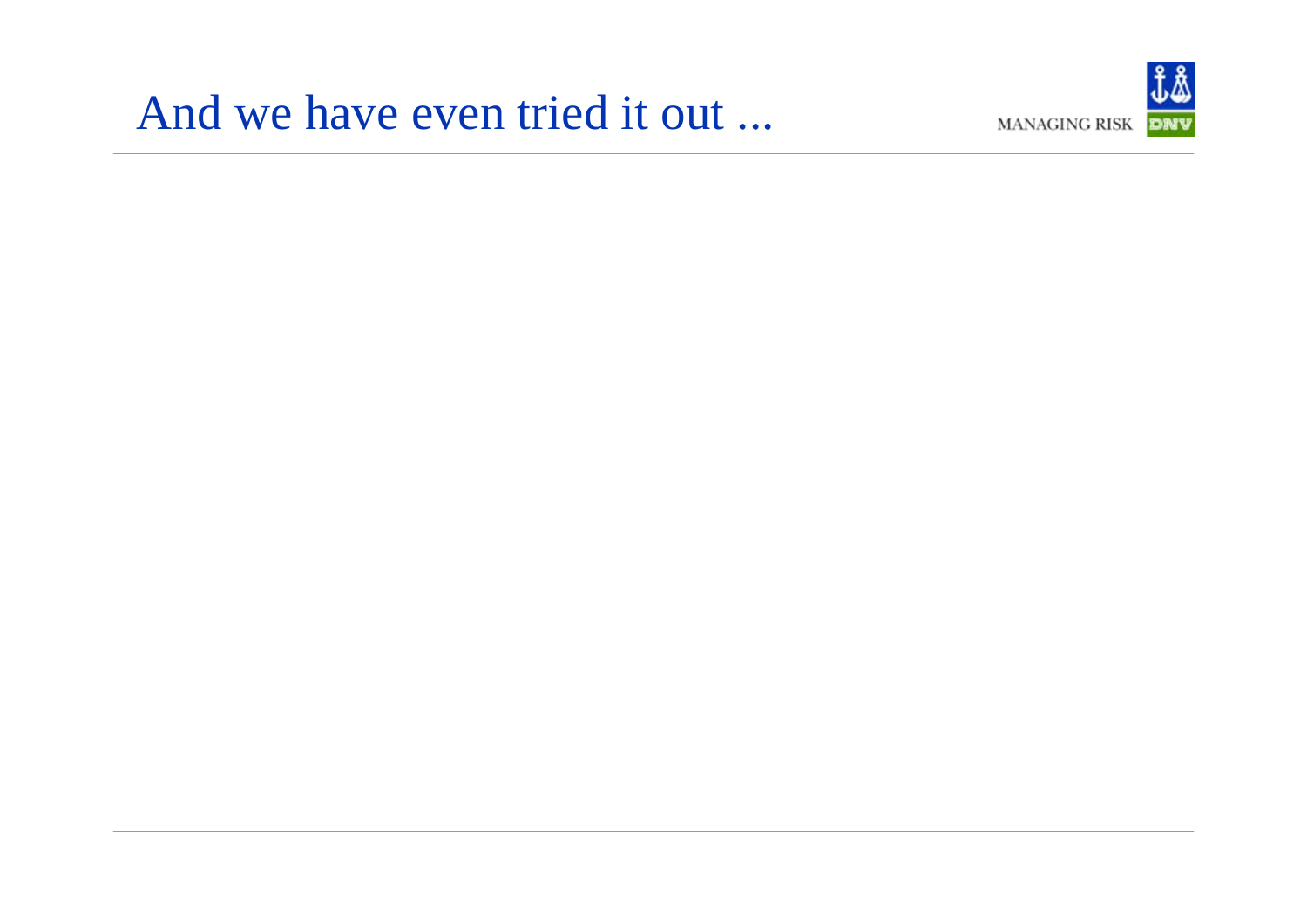#### And we have even tried it out ...

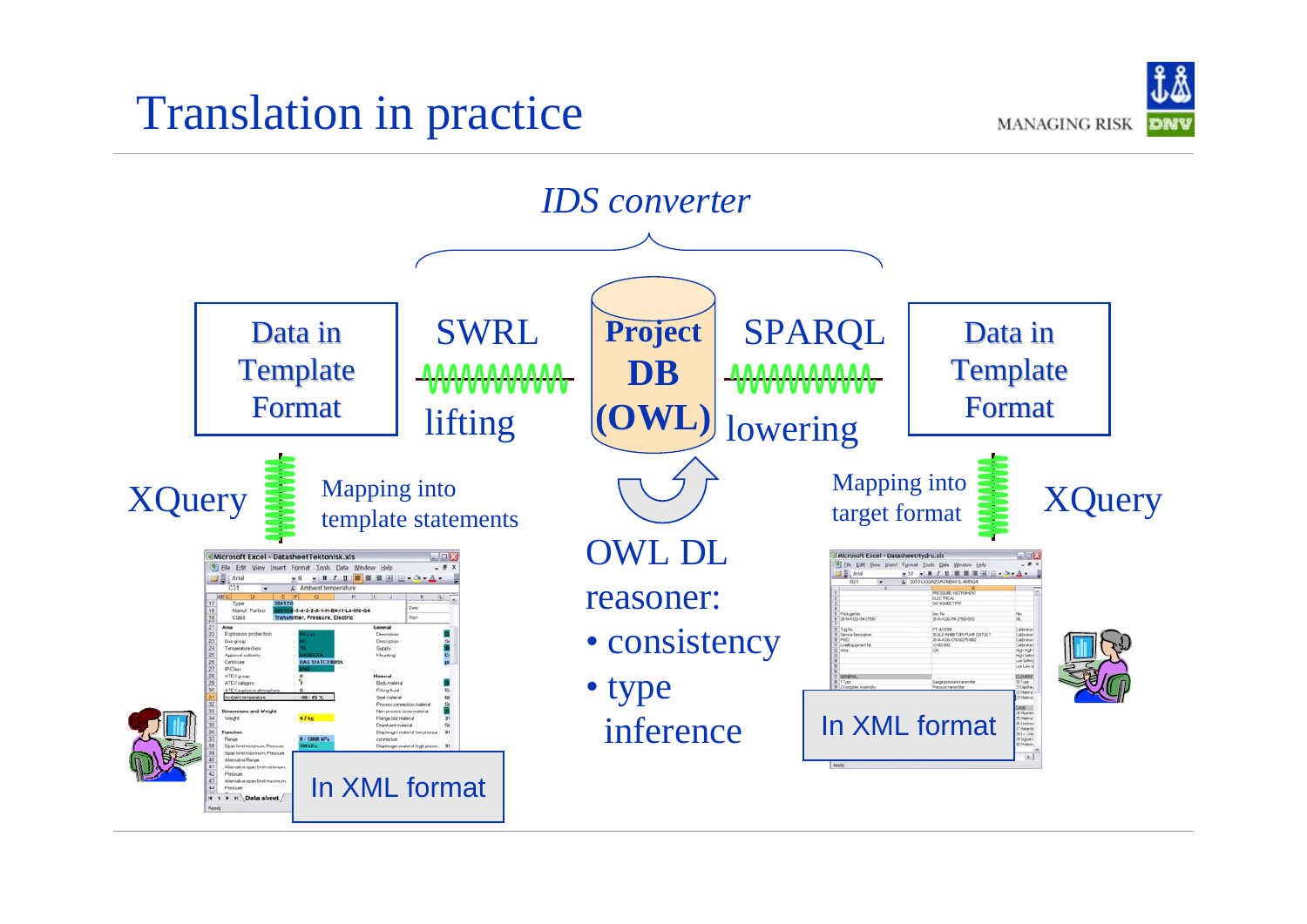#### Translation in practice



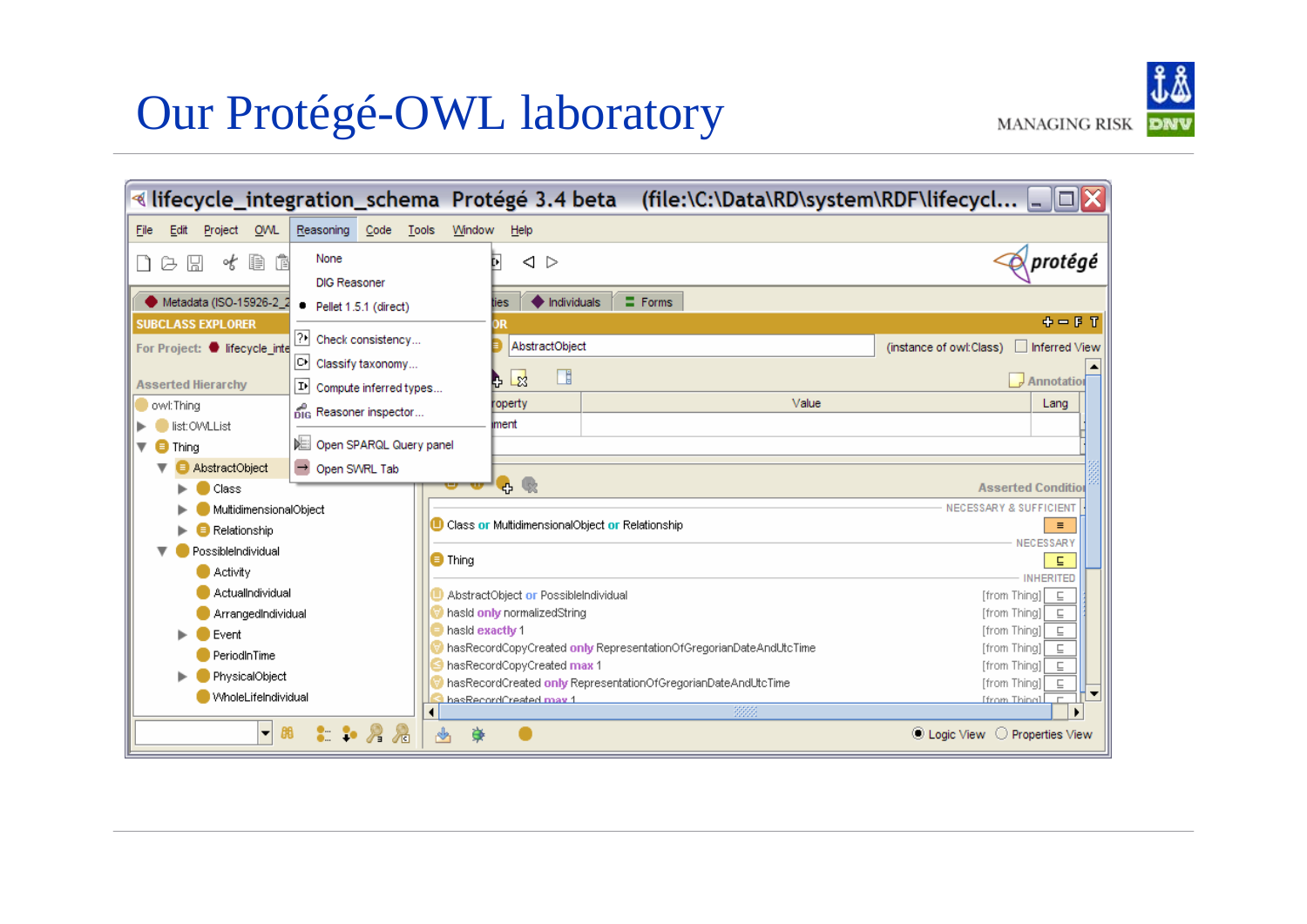# Our Protégé-OWL laboratory

|                  | $\mathbf{\omega} \mathbf{\omega}$ |
|------------------|-----------------------------------|
| ANAGING RISK DNV |                                   |

|                                                                                                                                                                          | « lifecycle_integration_schema Protégé 3.4 beta (file:\C:\Data\RD\system\RDF\lifecycl                                                                                                                                                                                                                                      |
|--------------------------------------------------------------------------------------------------------------------------------------------------------------------------|----------------------------------------------------------------------------------------------------------------------------------------------------------------------------------------------------------------------------------------------------------------------------------------------------------------------------|
| File<br><b>OWL</b><br>Reasoning<br>Code<br>Edit<br>Project                                                                                                               | Tools<br>Window<br>Help                                                                                                                                                                                                                                                                                                    |
| None<br>Þ<br>倌<br>∘t<br>딞<br>a<br><b>DIG Reasoner</b>                                                                                                                    | $\bar{\mathcal{O}}$ protégé<br>◁<br>▷<br>며                                                                                                                                                                                                                                                                                 |
| Metadata (ISO-15926-2_2<br>Pellet 1.5.1 (direct)<br>٠                                                                                                                    | $\equiv$ Forms<br>$\bullet$ Individuals<br>ties                                                                                                                                                                                                                                                                            |
| <b>SUBCLASS EXPLORER</b><br>?∗<br>Check consistency<br>For Project: Ifecycle_inte<br>어<br>Classify taxonomy<br><b>Asserted Hierarchy</b><br>D)<br>Compute inferred types | 中一日了<br>ЭR<br>AbstractObject<br>(instance of owl:Class)<br>Inferred View<br>⊞<br>-23<br>$\sqrt{\frac{1}{2}}$ Annotation                                                                                                                                                                                                    |
| owl:Thing<br>pig Reasoner inspector<br>list: OWLList                                                                                                                     | Value<br>roperty<br>Lang<br>iment                                                                                                                                                                                                                                                                                          |
| DE Open SPARQL Query panel<br>$\blacksquare$ Thing<br>Open SWRL Tab<br>AbstractObject<br>Class                                                                           | 吸<br>Ф.<br><b>Asserted Conditio</b>                                                                                                                                                                                                                                                                                        |
| MultidimensionalObject<br>Relationship<br>PossibleIndividual                                                                                                             | <b>NECESSARY &amp; SUFFICIENT</b><br>Class or MultidimensionalObject or Relationship<br>$\equiv$<br>NECESSAR)                                                                                                                                                                                                              |
| <b>Activity</b><br>ActualIndividual                                                                                                                                      | $\bigcirc$ Thing<br>Е<br><b>INHERITED</b><br>AbstractObject or PossibleIndividual<br>[from Thing]<br>$\sqsubseteq$                                                                                                                                                                                                         |
| ArrangedIndividual<br>Event                                                                                                                                              | hasid only normalizedString<br>[from Thing]]<br>⊑<br>hasid exactiv 1<br>[from Thing]]                                                                                                                                                                                                                                      |
| PeriodInTime<br>PhysicalObject<br>WholeLifeIndividual                                                                                                                    | hasRecordCopyCreated only RepresentationOfGregorianDateAndUtcTime<br>[from Thing]]<br>⊑<br>hasRecordCopyCreated max 1<br>[from Thing]]<br>⊑<br>hasRecordCreated only RepresentationOfGregorianDateAndUtcTime<br>[from Thing]<br>$\sqsubseteq$<br>hasRecordCreated may 1<br><b>Ifrom Thinal</b><br>$\overline{\phantom{a}}$ |
| $\bullet$ $\bullet$ $\bullet$ $\bullet$<br>88<br>$\blacksquare$                                                                                                          | 3333<br>$\frac{1}{2}$<br>苺<br>C Logic View<br>O Properties View                                                                                                                                                                                                                                                            |

 $M/$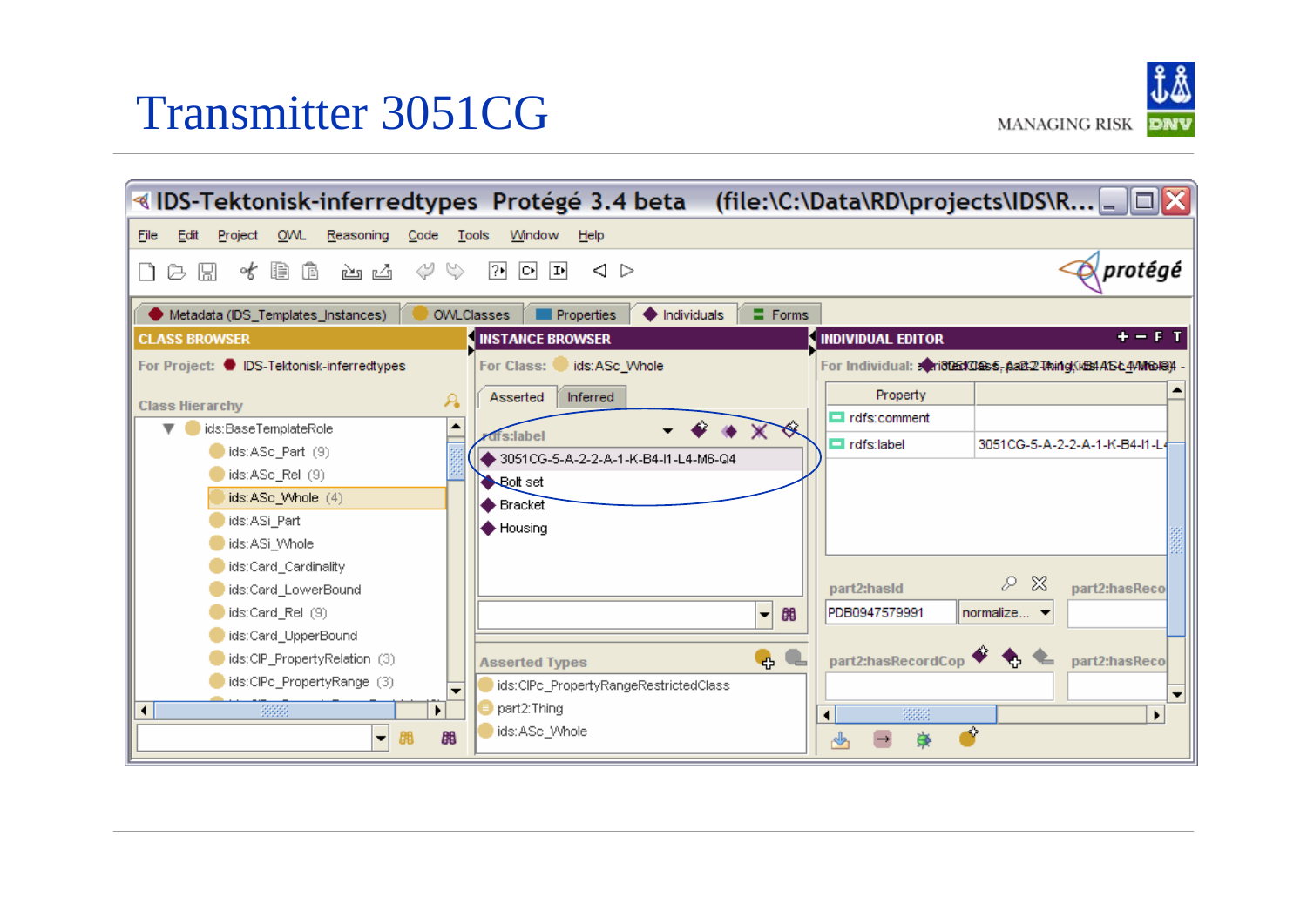#### Transmitter 3051CG

**MANAGING RISK** 

व IDS-Tektonisk-inferredtypes Protégé 3.4 beta (file:\C:\Data\RD\projects\IDS\R... \_ □ <mark>※</mark> Edit Project **OVVL** Reasoning Code Tools Window File Help  $\sqrt{protégé}$ 圖 水胆血 گی گی じ ツ ② 回回  $\langle$   $>$ a. ו Metadata (IDS\_Templates\_Instances) **OWLClasses Properties**  $\bigoplus$  Individuals  $\equiv$  Forms **INDIVIDUAL EDITOR CLASS BROWSER INSTANCE BROWSER** + – F T For Project: C IDS-Tektonisk-inferredtypes ids:ASc Whole For Individual: <a>
For Individual: <a>
<a>
For Individual: <a>
<a>
For Individual: <a>
<a>
For Individual: <a>
<a>
For Individual: <a>
<a>
For Individual: <a>
<a>
For Individual: <a>
<a>
For Individual: <a>
<a>
For Indivi For Class: Property Asserted Inferred A **Class Hierarchy**  $\blacksquare$  rdfs:comment  $\blacktriangle$ ids:BaseTemplateRole fs:label 3051CG-5-A-2-2-A-1-K-B4-I1-L4  $\Box$  rdfs:label ids:ASc\_Part (9) 3051CG-5-A-2-2-A-1-K-B4-I1-L4-M6-Q4 ids:ASc\_Rel (9) Bolt set ids:ASc\_Whole (4) Bracket ids:ASi Part ♦ Housing ids:ASi Whole ids:Card Cardinality ₽ - X part2:hasReco ids:Card\_LowerBound part2:hasId ids:Card\_Rel (9) PDB0947579991 normalize... 88  $\overline{\phantom{a}}$ ids:Card\_UpperBound part2:hasRecordCop ids:CIP\_PropertyRelation (3) ę, part2:hasReco **Asserted Types** ids:CIPc\_PropertyRange (3) ids:CIPc\_PropertyRangeRestrictedClass  $\cdot$  $\overline{\phantom{a}}$  $\Box$  part2: Thing  $\blacksquare$ 3333  $\blacktriangleright$ 33333 ∢  $\blacktriangleright$ ids:ASc\_Whole ◈ 88 豪 ▼ 鶥 ♨  $\rightarrow$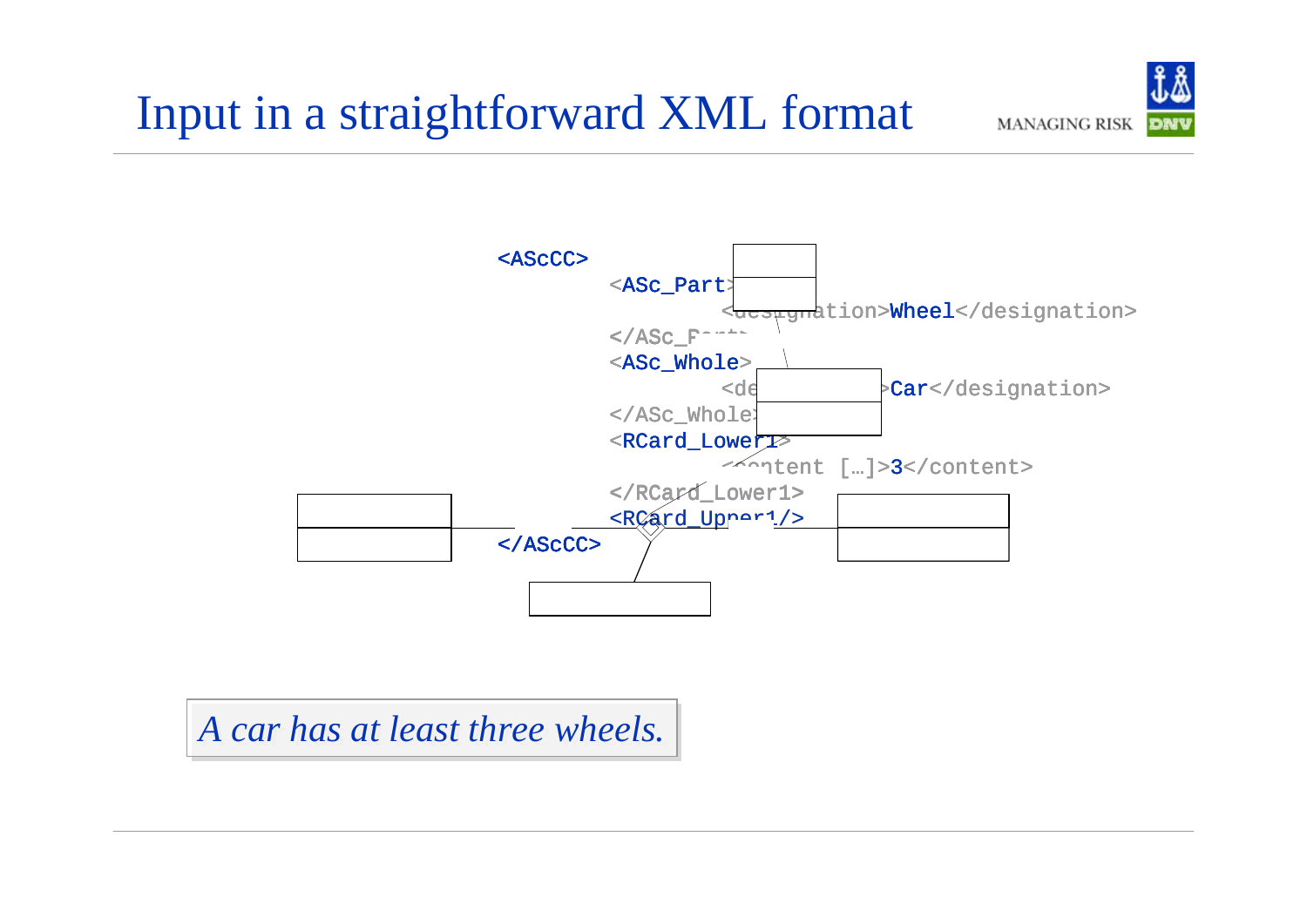

*A car A car has at least three wheels. has at least three wheels.*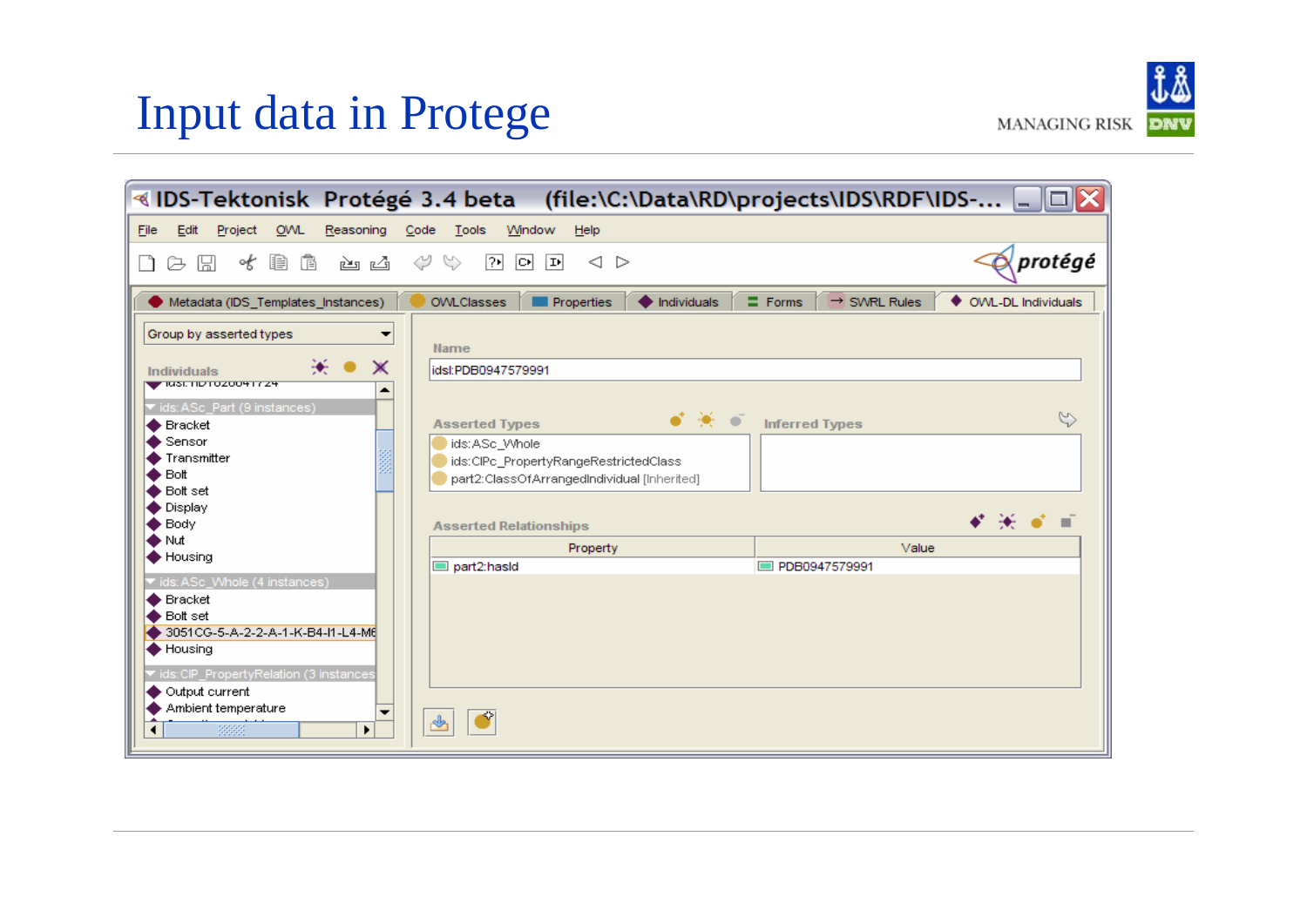#### Input data in Protege

|                                                                                                                                                                                                                                                      | «IDS-Tektonisk  Protégé 3.4 beta    (file:\C:\Data\RD\projects\IDS\RDF\IDS-                                                                                                                            |                      |
|------------------------------------------------------------------------------------------------------------------------------------------------------------------------------------------------------------------------------------------------------|--------------------------------------------------------------------------------------------------------------------------------------------------------------------------------------------------------|----------------------|
| OWL<br>Reasoning<br>File<br>Edit<br>Project                                                                                                                                                                                                          | Tools<br>Window<br>Code<br>Help                                                                                                                                                                        |                      |
| b G<br>of<br>鳯<br>函 凶<br>☞<br>LT.                                                                                                                                                                                                                    | ⇔<br>$\mathbb{S}$<br>$\boxed{2}$<br>$\boxed{\circ}$<br>$ \mathbf{P} $<br>◁<br>▷                                                                                                                        | protégé              |
| Metadata (IDS_Templates_Instances)                                                                                                                                                                                                                   | $\blacklozenge$ Individuals<br>$\equiv$ Forms<br>$\rightarrow$ SWRL Rules<br><b>OVVLClasses</b><br><b>Properties</b>                                                                                   | ♦ OWL-DL Individuals |
| Group by asserted types<br>▼<br>₩. ●<br>$\times$<br>Individuals<br><b>WAS TRANSPORTED ASSESS</b><br>▴<br>vids:ASc_Part (9 instances)<br><b>←</b> Bracket<br>$\bullet$ Sensor<br>Transmitter<br>$\blacktriangleright$ Bott<br>Bolt set<br>Display     | <b>Name</b><br>idsl:PDB0947579991<br>•* * •<br><b>Inferred Types</b><br><b>Asserted Types</b><br>ids:ASc_Whole<br>ids:CIPc_PropertyRangeRestrictedClass<br>part2:ClassOfArrangedIndividual [Inherited] | $\heartsuit$         |
| $\bullet$ Body<br><b>◆</b> Nut                                                                                                                                                                                                                       | <b>Asserted Relationships</b><br>Property                                                                                                                                                              | ≮⋇∢∎<br>Value        |
| <b>←</b> Housing<br>vids: ASc_Whole (4 instances)<br>$\bullet$ Bracket<br>$\bullet$ Bolt set<br>3051CG-5-A-2-2-A-1-K-B4-I1-L4-M6<br>← Housing<br>vids:CIP_PropertyRelation (3 instances<br>♦ Output current<br>Ambient temperature<br>▼<br>3333<br>٠ | part2:hasid<br>D PDB0947579991<br>♨                                                                                                                                                                    |                      |

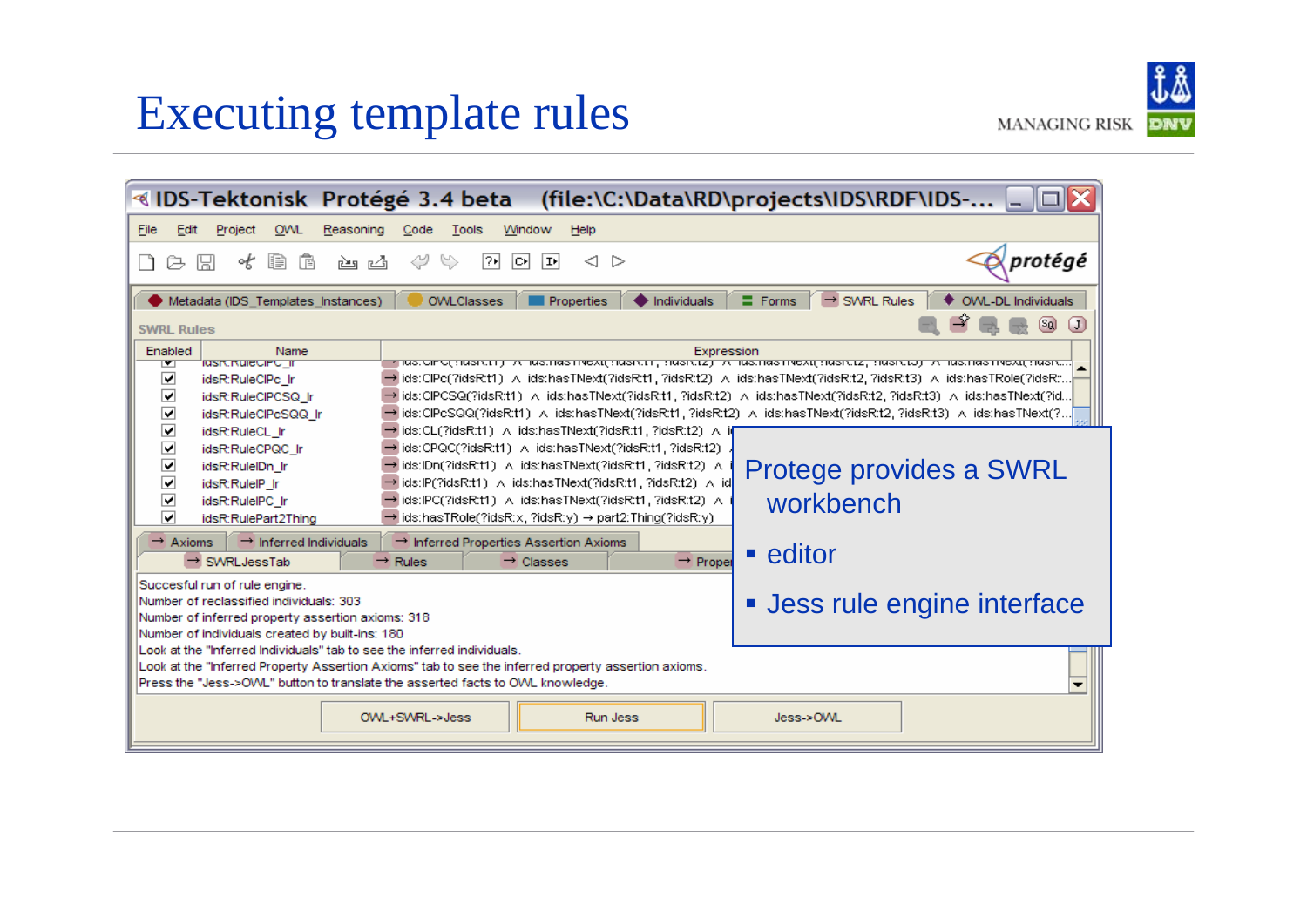#### Executing template rules

| ∢IDS-Tektonisk Protégé 3.4 beta                                                                                                                                                                                                                                                                                                                                                                                                                                                                                                                                                                                          | (file:\C:\Data\RD\projects\IDS\RDF\IDS-                                                                                                                                                                                                                                                                                                                                                                                                                                                      |
|--------------------------------------------------------------------------------------------------------------------------------------------------------------------------------------------------------------------------------------------------------------------------------------------------------------------------------------------------------------------------------------------------------------------------------------------------------------------------------------------------------------------------------------------------------------------------------------------------------------------------|----------------------------------------------------------------------------------------------------------------------------------------------------------------------------------------------------------------------------------------------------------------------------------------------------------------------------------------------------------------------------------------------------------------------------------------------------------------------------------------------|
| File<br>Edit<br><b>OWL</b><br>Reasoning<br>Window<br>Project<br>Code<br>Tools<br>Help                                                                                                                                                                                                                                                                                                                                                                                                                                                                                                                                    |                                                                                                                                                                                                                                                                                                                                                                                                                                                                                              |
| ∾<br>ाय<br>函 凶<br>圍<br>偱<br>lo∗l<br>∣¤ا<br>≪<br>ľы                                                                                                                                                                                                                                                                                                                                                                                                                                                                                                                                                                       | protégé<br>$\lhd$<br>▷                                                                                                                                                                                                                                                                                                                                                                                                                                                                       |
| OVVL-DL Individuals<br>$\rightarrow$ SWRL Rules<br><b>Properties</b><br>Individuals<br>$\equiv$ Forms<br><b>OWLClasses</b><br>Metadata (IDS Templates Instances)<br>$\left[\mathbf{J}\right]$<br>$[$ sa<br><b>SWRL Rules</b>                                                                                                                                                                                                                                                                                                                                                                                             |                                                                                                                                                                                                                                                                                                                                                                                                                                                                                              |
| Enabled<br>Name<br>rasik.ikureciPc_ir<br>▼<br>◡<br>idsR:RuleCIPc Ir<br>⊡<br>idsR:RuleCIPCSQ Ir<br>☑<br>idsR:RuleCIPcSQQ_Ir                                                                                                                                                                                                                                                                                                                                                                                                                                                                                               | Expression<br>ין ועש כור טן זעשות איין דער איין א פון זעשות איין דער איין דער איין דער איין דער איין דער דער איין דער איין זעשו<br>→ ids:ClPc(?idsR:t1) A_ids:hasTNext(?idsR:t1, ?idsR:t2) A_ids:hasTNext(?idsR:t2, ?idsR:t3) A_ids:hasTRole(?idsR::<br>→ ids:CIPCSQ(?idsR:t1) A_ids:hasTNext(?idsR:t1, ?idsR:t2) A_ids:hasTNext(?idsR:t2, ?idsR:t3) A_ids:hasTNext(?id.,<br>→ ids:ClPcSQQ(?idsR:t1) A_ids:hasTNext(?idsR:t1, ?idsR:t2) A_ids:hasTNext(?idsR:t2, ?idsR:t3) A_ids:hasTNext(?. |
| $\overline{\phantom{0}}$<br>→ ids:CL(?idsR:t1) ∧ ids:hasTNext(?idsR:t1, ?idsR:t2) ∧ i(<br>idsR:RuleCL_Ir<br>☑<br>→ ids:CPQC(?idsR:t1) A_ids:hasTNext(?idsR:t1, ?idsR:t2) =<br>idsR:RuleCPQC_Ir<br>$\Box$<br>→ ids:IDn(?idsR:t1) A ids:hasTNext(?idsR:t1, ?idsR:t2) A<br>Protege provides a SWRL<br>idsR:RulelDn Ir<br>☑<br>→ ids:IP(?idsR:t1) A ids:hasTNext(?idsR:t1, ?idsR:t2) A id<br>idsR:RuleIP Ir<br>☑<br>workbench<br>→ ids:IPC(?idsR:t1) A ids:hasTNext(?idsR:t1, ?idsR:t2) A<br>idsR:RuleIPC Ir<br>⊡<br>$\rightarrow$ ids:hasTRole(?idsR:x, ?idsR:y) $\rightarrow$ part2:Thing(?idsR:y).<br>idsR:RulePart2Thing |                                                                                                                                                                                                                                                                                                                                                                                                                                                                                              |
| $\rightarrow$ Inferred Individuals<br>$\rightarrow$ Axioms<br>$\rightarrow$ Inferred Properties Assertion Axioms<br>$\rightarrow$ SWRL Jess Tab<br>$\rightarrow$ Rules<br>$\rightarrow$ Classes                                                                                                                                                                                                                                                                                                                                                                                                                          | ■ editor<br>$\rightarrow$ Prope                                                                                                                                                                                                                                                                                                                                                                                                                                                              |
| Succesful run of rule engine.<br>• Jess rule engine interface<br>Number of reclassified individuals: 303<br>Number of inferred property assertion axioms: 318<br>Number of individuals created by built-ins: 180                                                                                                                                                                                                                                                                                                                                                                                                         |                                                                                                                                                                                                                                                                                                                                                                                                                                                                                              |
| Look at the "inferred individuals" tab to see the inferred individuals.<br>Look at the "Inferred Property Assertion Axioms" tab to see the inferred property assertion axioms.<br>Press the "Jess->OVVL" button to translate the asserted facts to OVVL knowledge.                                                                                                                                                                                                                                                                                                                                                       |                                                                                                                                                                                                                                                                                                                                                                                                                                                                                              |
| OWL+SWRL->Jess                                                                                                                                                                                                                                                                                                                                                                                                                                                                                                                                                                                                           | Run Jess<br>Jess->OWL                                                                                                                                                                                                                                                                                                                                                                                                                                                                        |

**MANAGING RISK** DNV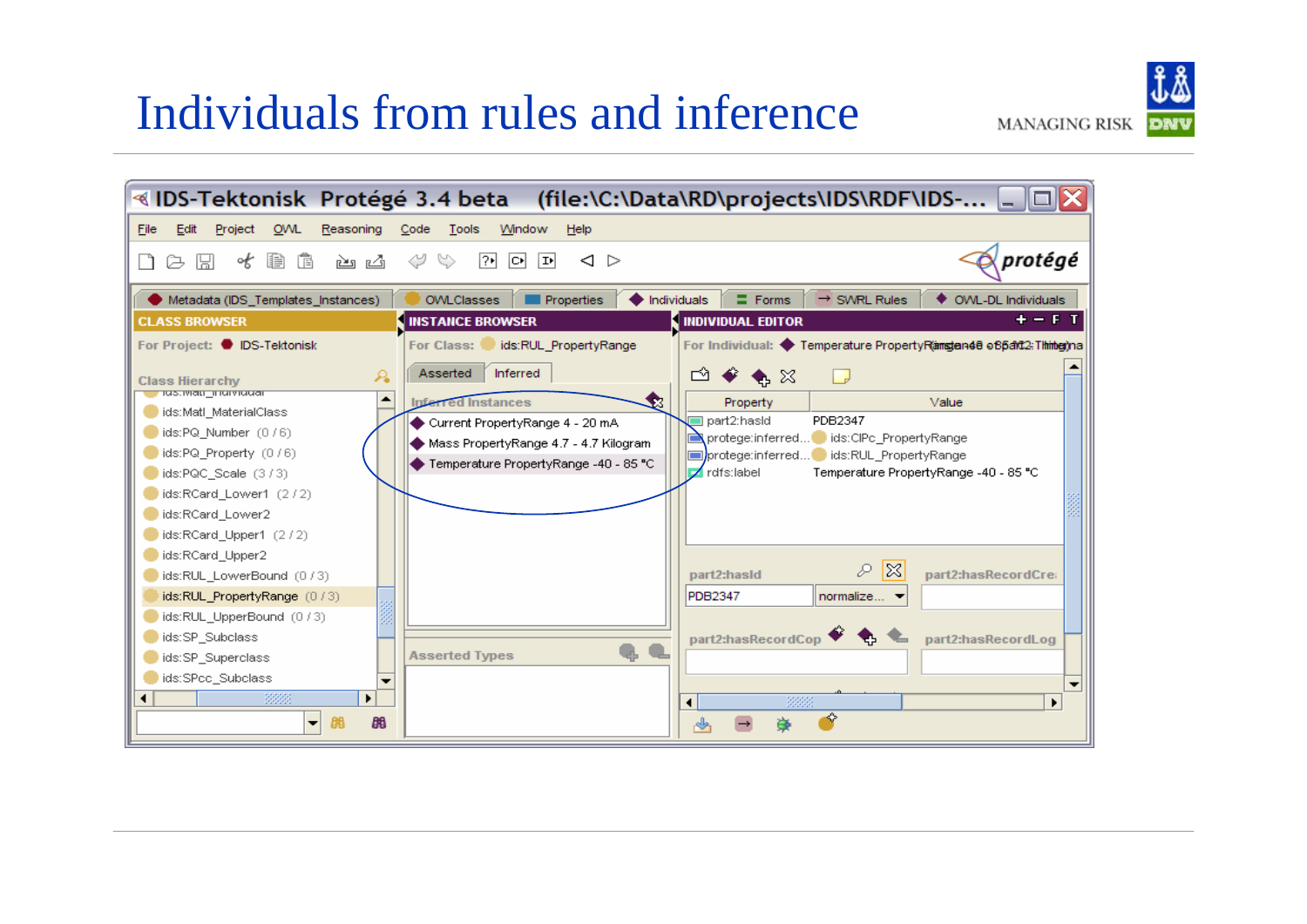#### Individuals from rules and inference

 $B<sub>0</sub>$ 

 $\blacktriangledown$ 

**BB** 



❖

rsin (

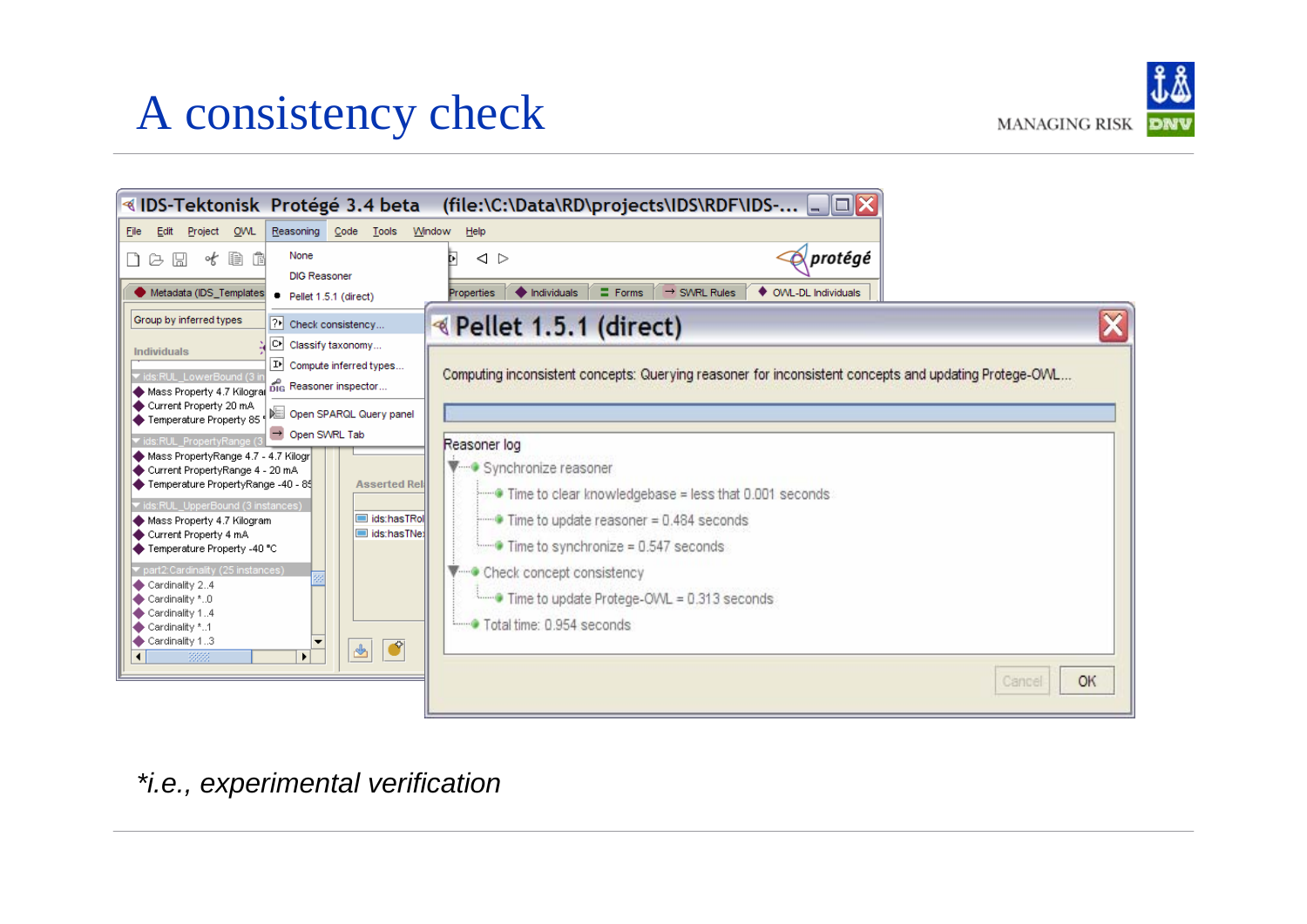# A consistency check



| ≪IDS-Tektonisk Protégé 3.4 beta                                                                                                                                              |                                                                                                                                                            |
|------------------------------------------------------------------------------------------------------------------------------------------------------------------------------|------------------------------------------------------------------------------------------------------------------------------------------------------------|
| OWL<br>File<br>Edit<br>Project<br>Reasoning Code<br>Tools<br><b>Window</b>                                                                                                   | Help                                                                                                                                                       |
| None<br>才自自<br>$D \varnothing \boxtimes$<br><b>DIG Reasoner</b><br>Metadata (IDS Templates<br>Pellet 1.5.1 (direct)                                                          | $\oslash$ protégé<br>$\triangle$<br>$\blacklozenge$ Individuals<br>$\equiv$ Forms<br>$\rightarrow$ SWRL Rules<br>♦ OWL-DL Individuals<br><b>Properties</b> |
| Group by inferred types<br>? Check consistency                                                                                                                               | <b>Example 1.5.1 (direct)</b>                                                                                                                              |
| ∏C⊁ <br>Classify taxonomy<br><b>Individuals</b><br>$ \mathbf{P} $ Compute inferred types<br>vids:RUL LowerBound (3 i<br>big Reasoner inspector<br>Mass Property 4.7 Kilograi | Computing inconsistent concepts: Querying reasoner for inconsistent concepts and updating Protege-OVVL                                                     |
| Current Property 20 mA<br>Temperature Property 85<br>Open SWRL Tab                                                                                                           |                                                                                                                                                            |
| vids:RUL PropertyRange (3<br>Mass PropertyRange 4.7 - 4.7 Kilogr<br>Current PropertyRange 4 - 20 mA                                                                          | Reasoner log<br>V Synchronize reasoner                                                                                                                     |
| Temperature PropertyRange -40 - 85<br><b>Asserted Reli</b><br>vids:RUL UpperBound (3 instances)<br>ids:hasTRol<br>Mass Property 4.7 Kilogram                                 | Time to clear knowledgebase = less that 0.001 seconds<br>$\blacksquare$ Time to update reasoner = 0.484 seconds                                            |
| ids:hasTNex<br>Current Property 4 mA<br>← Temperature Property -40 °C                                                                                                        | Time to synchronize = 0.547 seconds                                                                                                                        |
| part2:Cardinality (25 instances)<br>Cardinality 24                                                                                                                           | Check concept consistency                                                                                                                                  |
| Cardinality *0<br>Cardinality 14                                                                                                                                             | Time to update Protege-OVVL = 0.313 seconds                                                                                                                |
| Cardinality *1<br>Cardinality 13<br>$\bullet$<br>$\frac{d}{d\Delta}$<br>388<br>$\blacktriangleright$<br>$\left  \cdot \right $                                               | Total time: 0.954 seconds                                                                                                                                  |
|                                                                                                                                                                              | OK<br>Cancel                                                                                                                                               |

*\*i.e., experimental verification*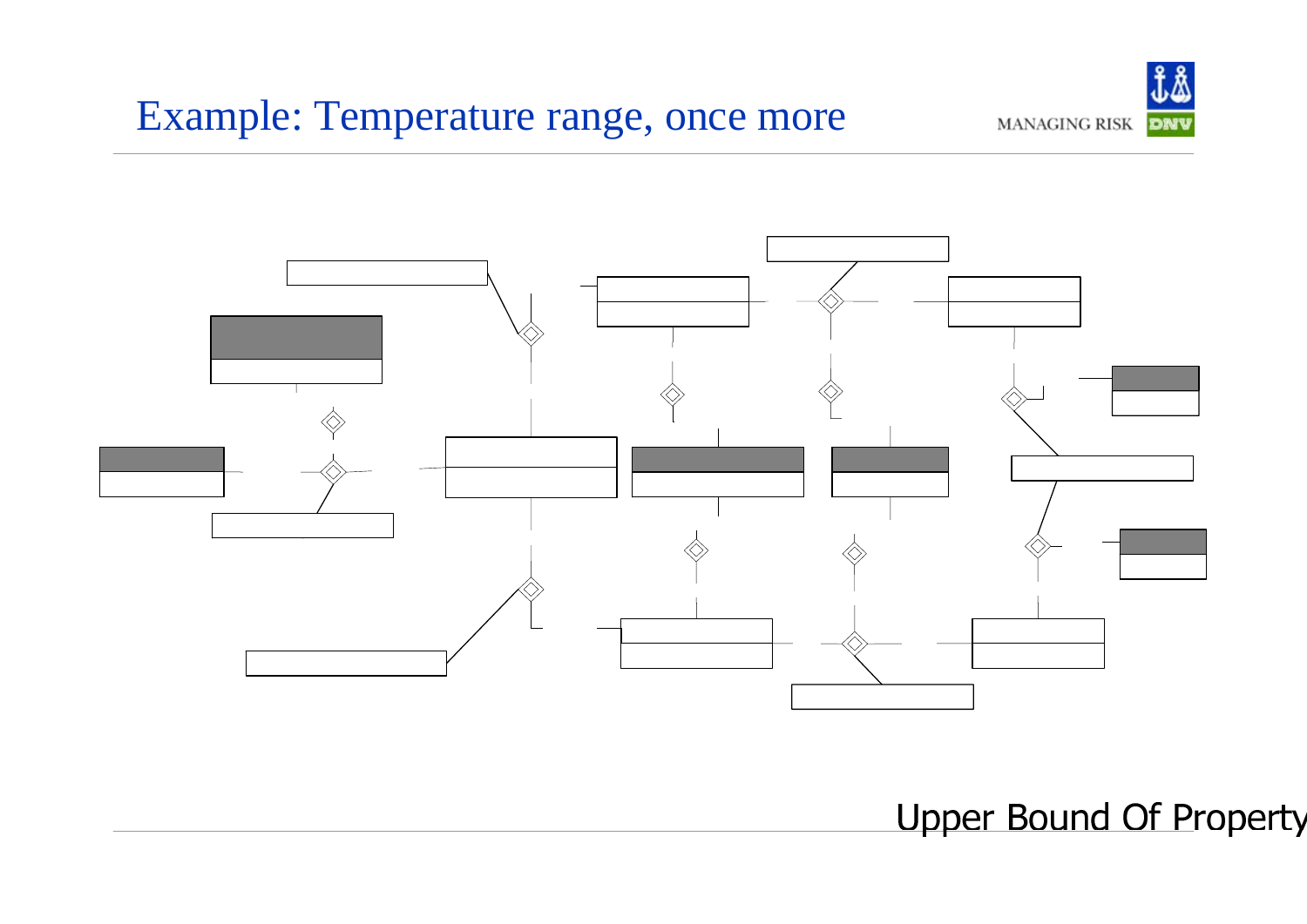#### Example: Temperature range, once more





**Upper Bound Of Pro**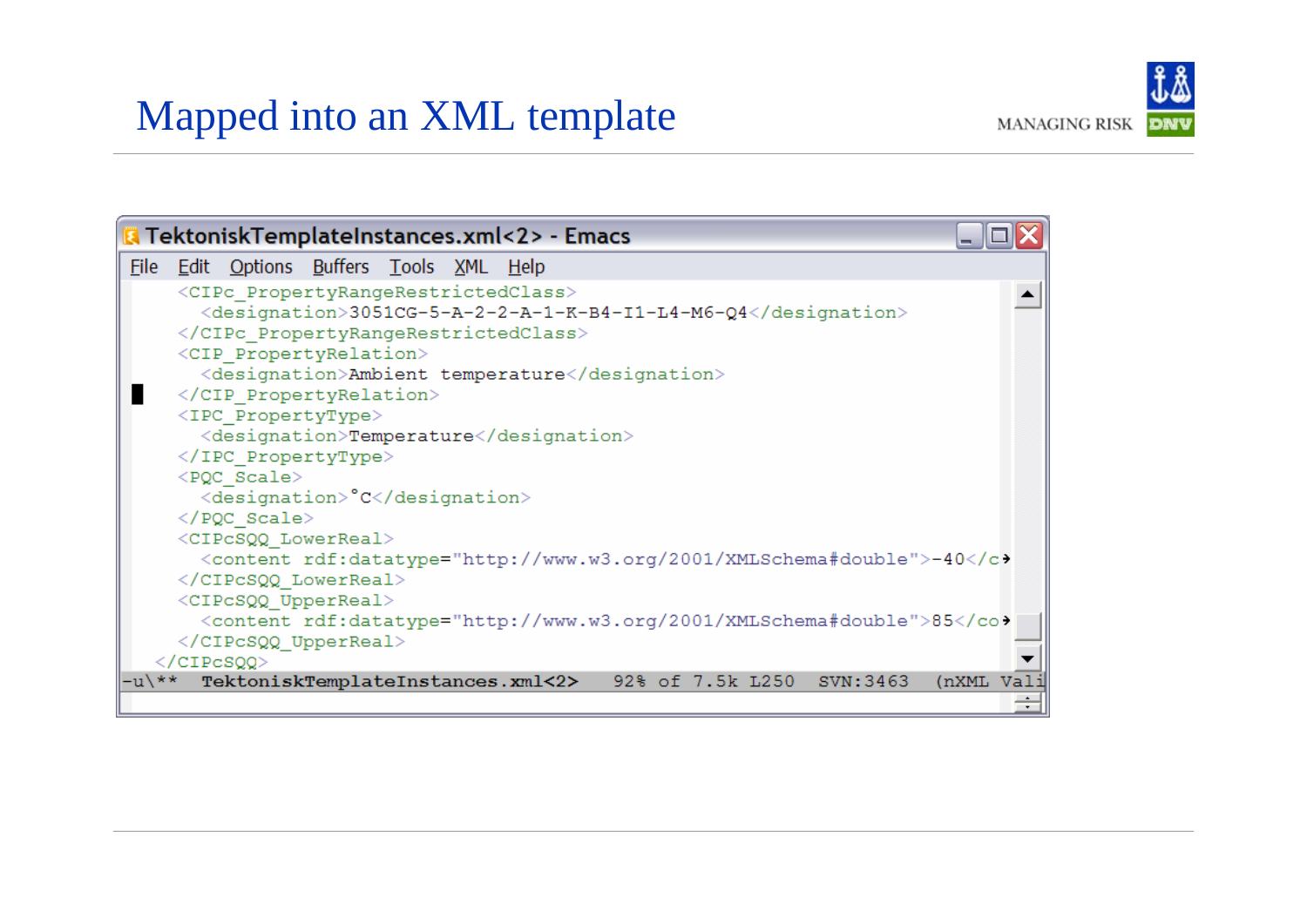#### Mapped into an XML template



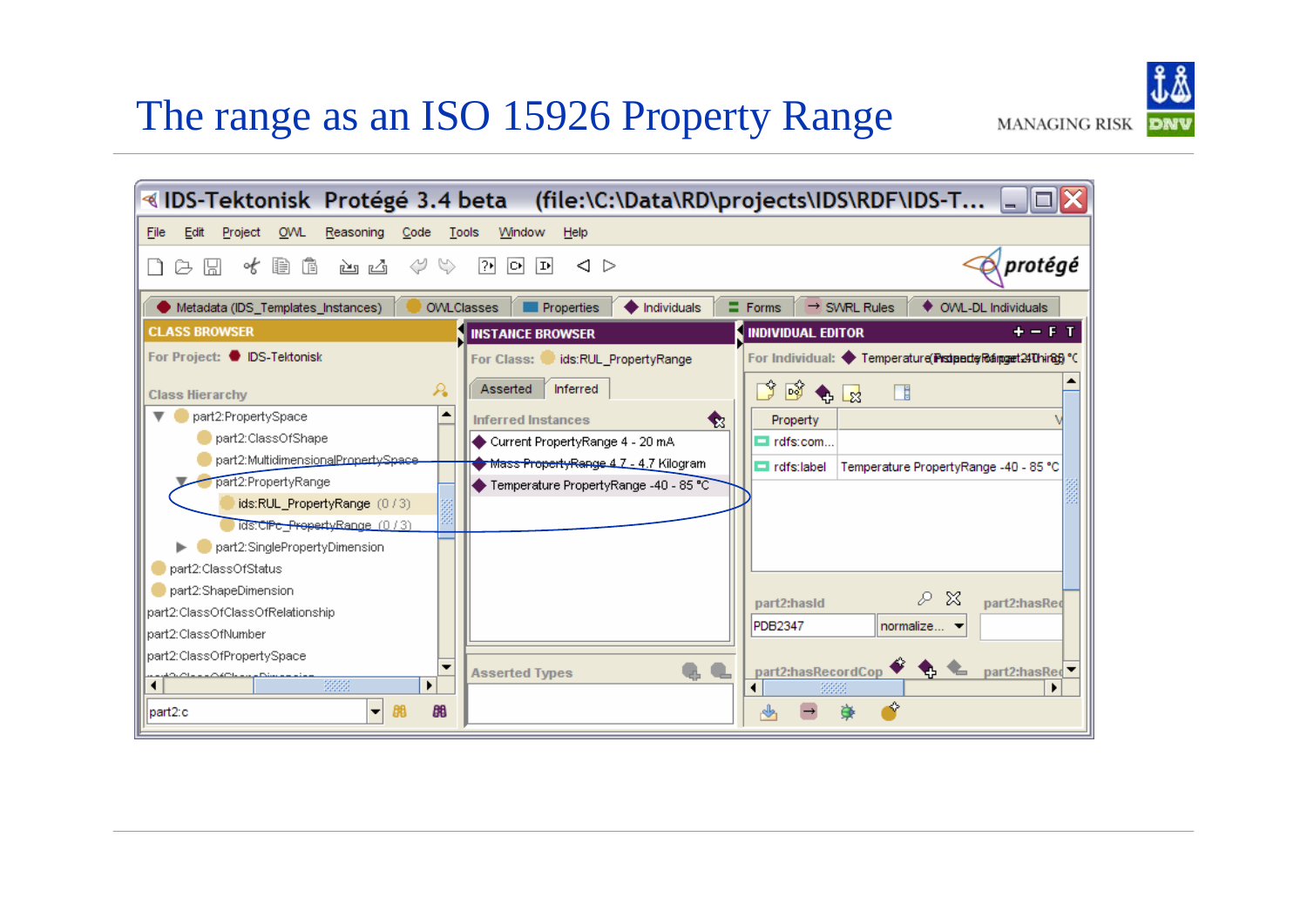#### The range as an ISO 15926 Property Range

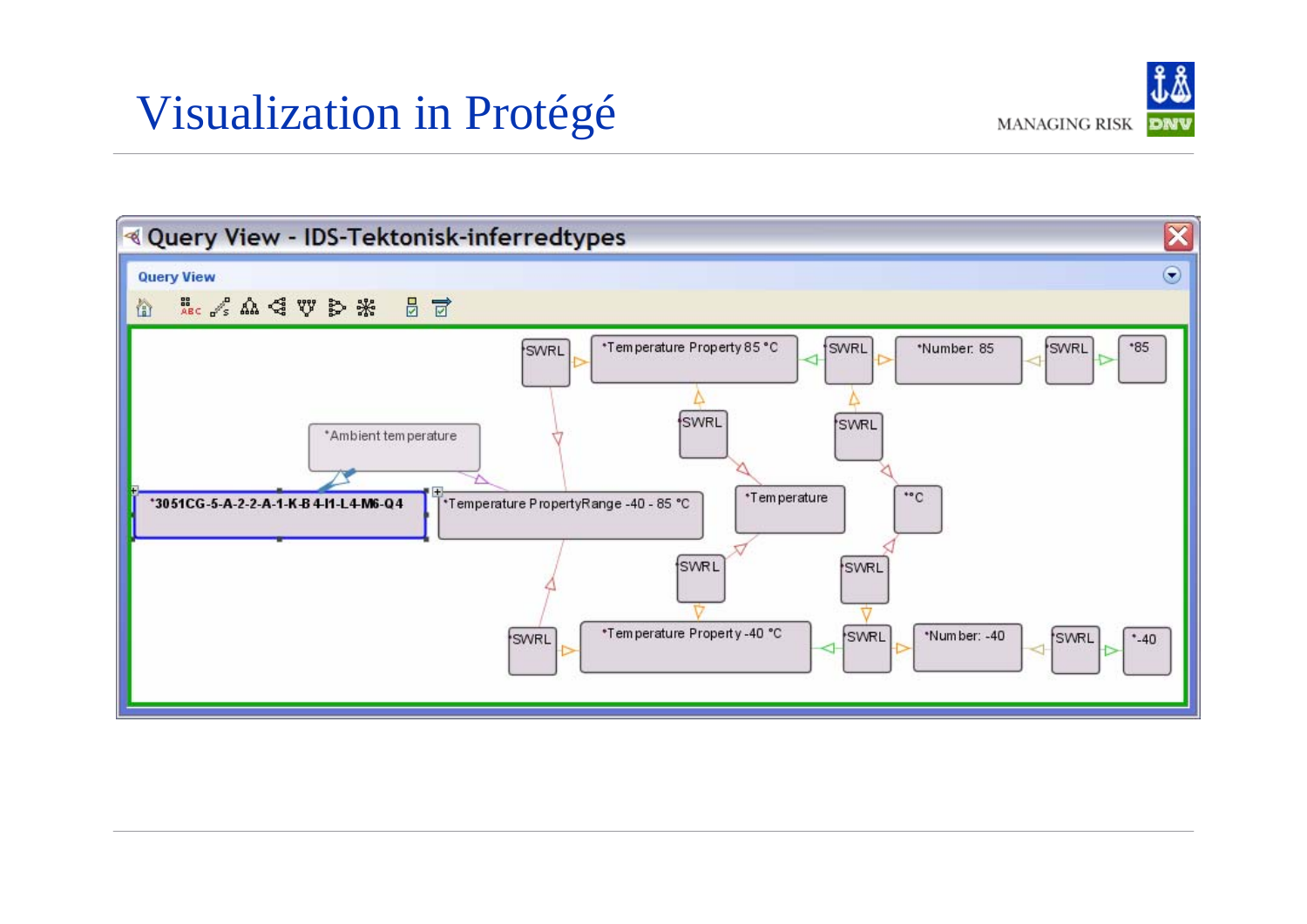#### Visualization in Protégé



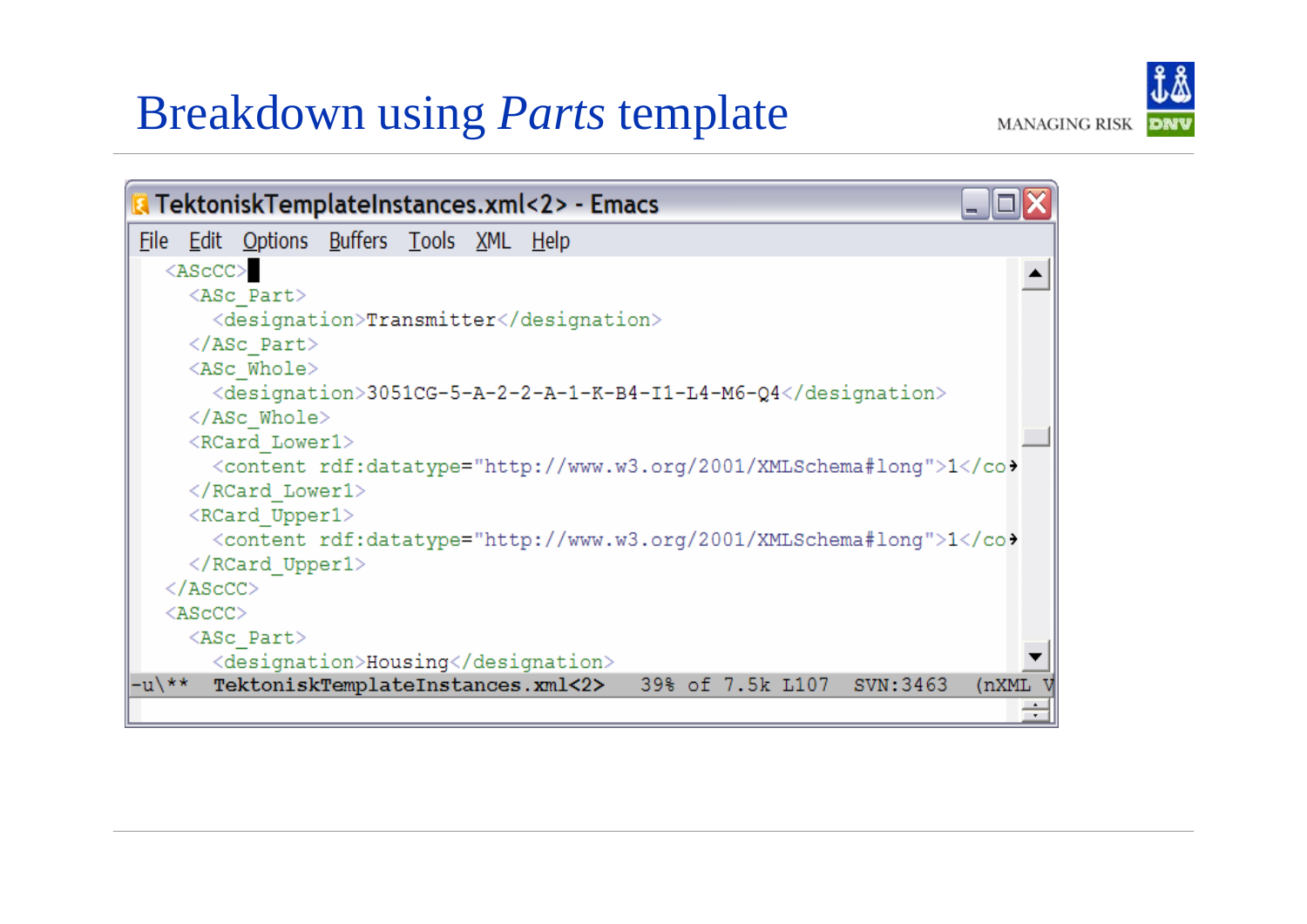#### Breakdown using *Parts* template

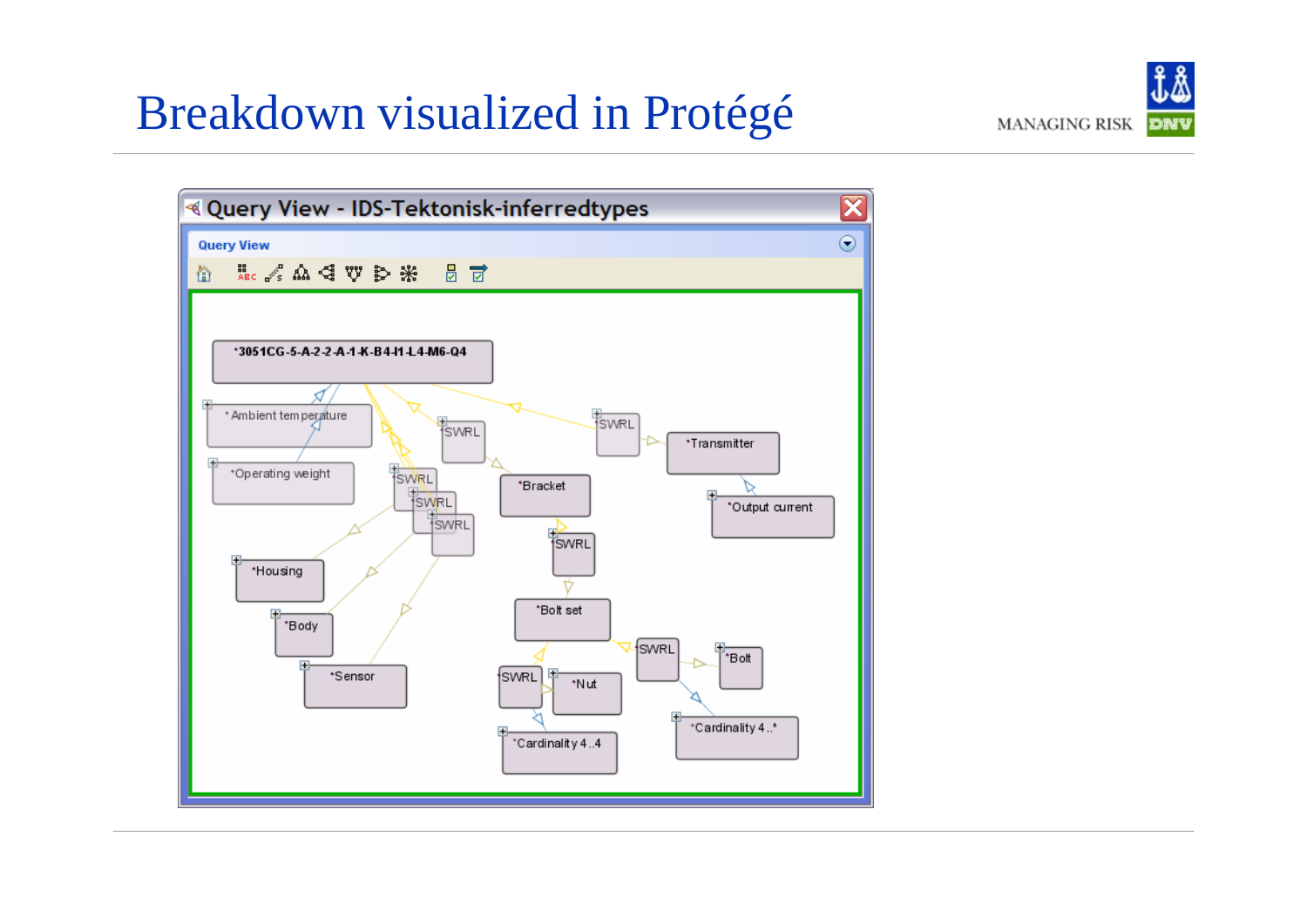#### Breakdown visualized in Protégé



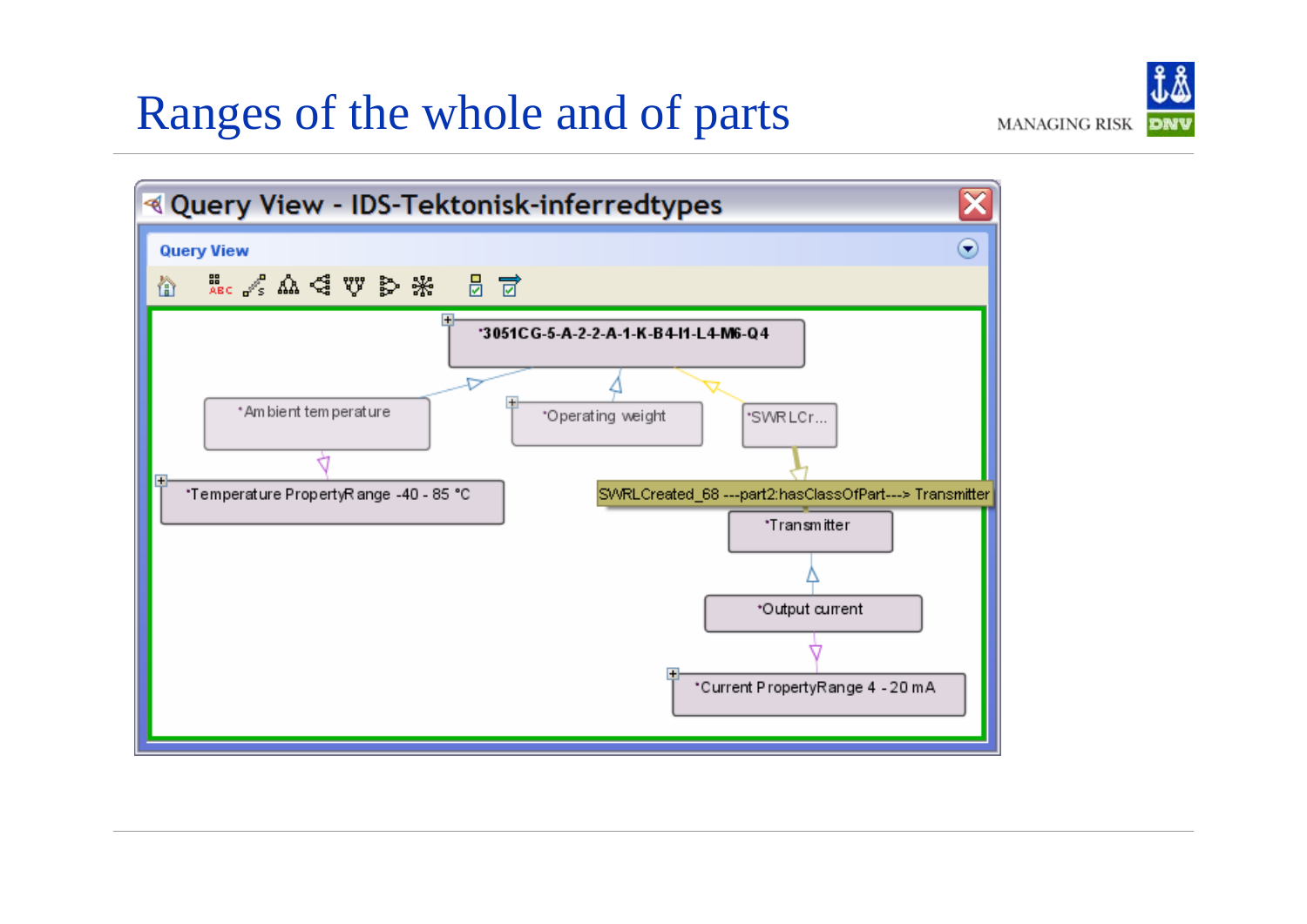#### Ranges of the whole and of parts

**Query View** 

伦



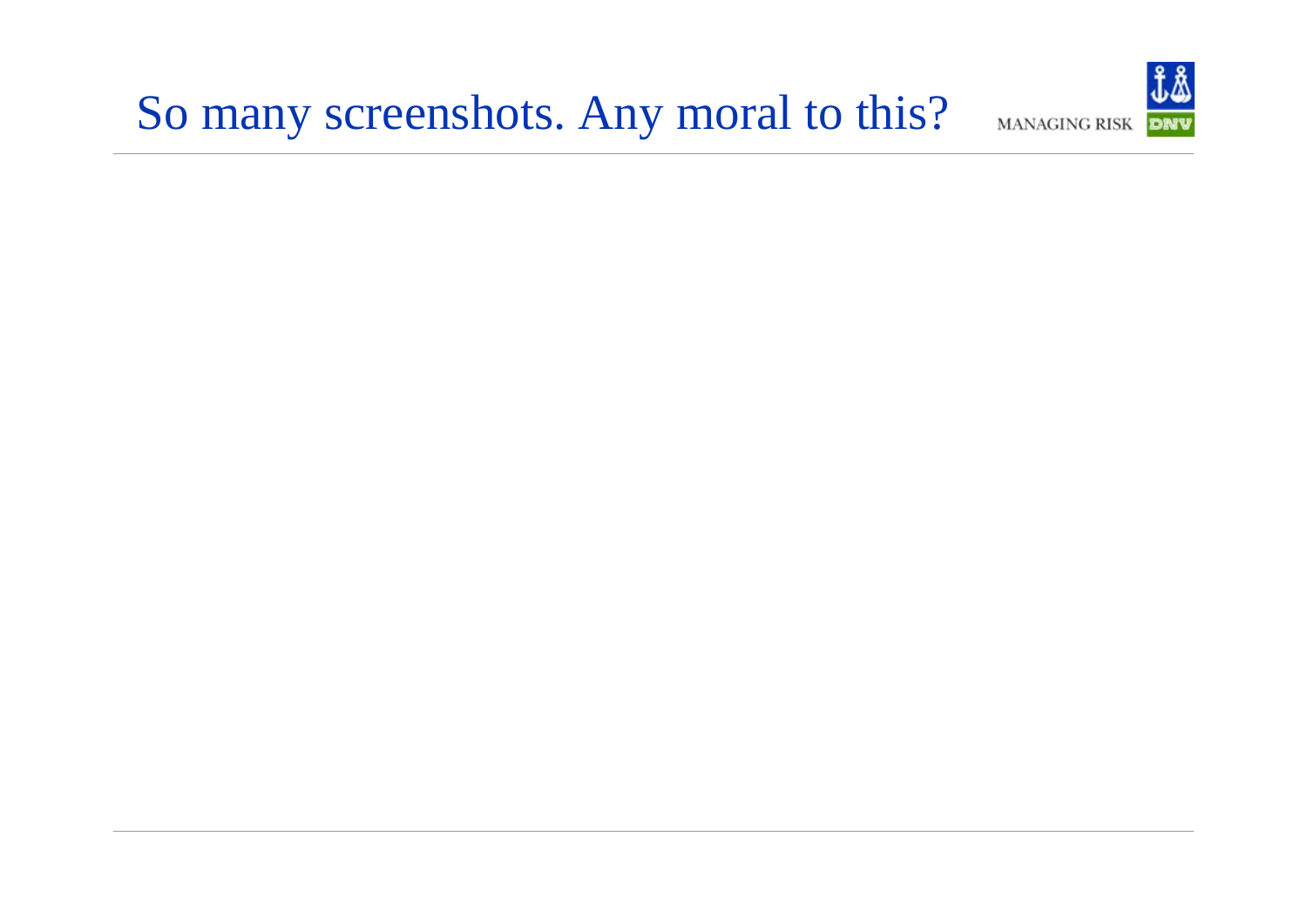#### So many screenshots. Any moral to this?

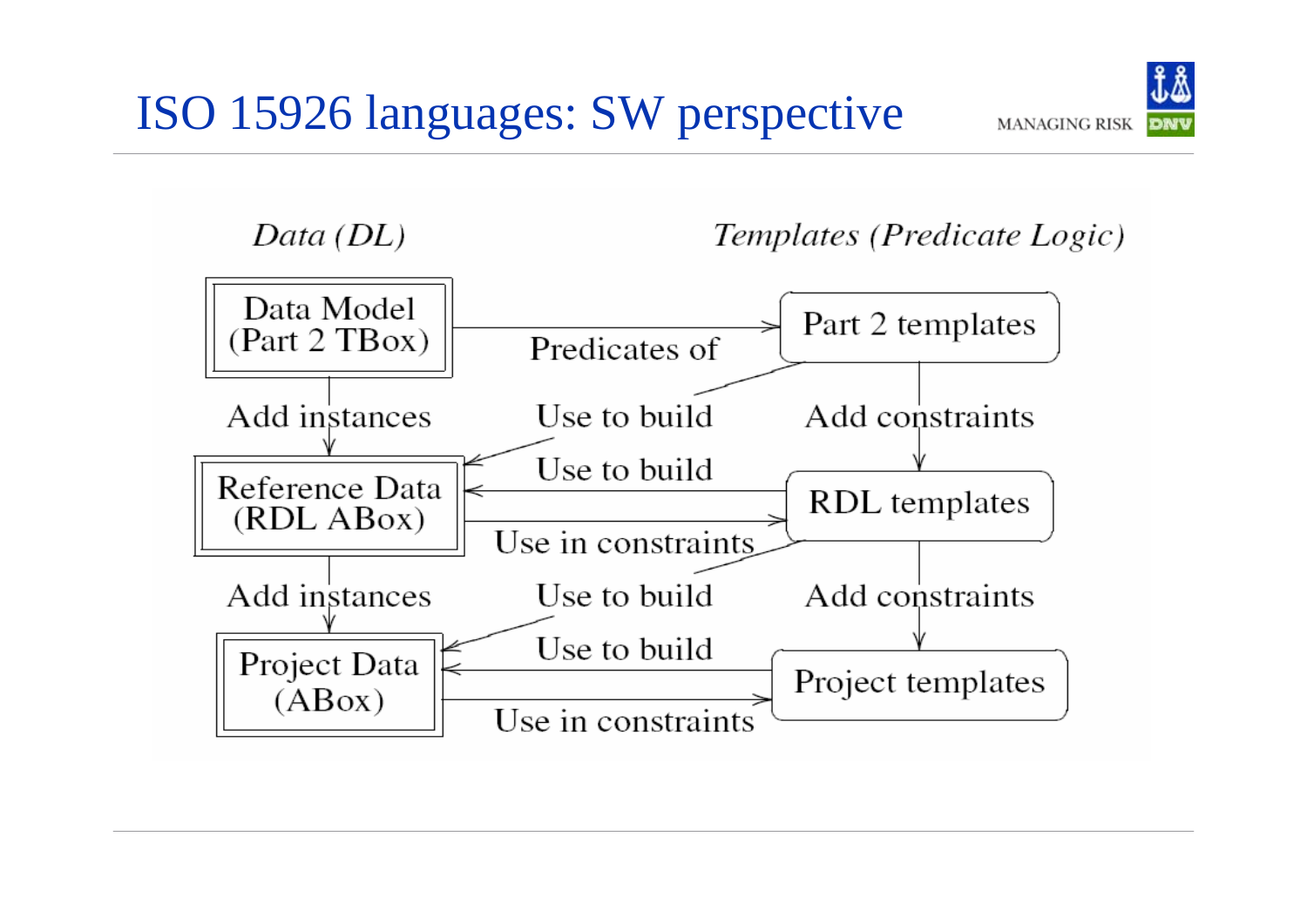

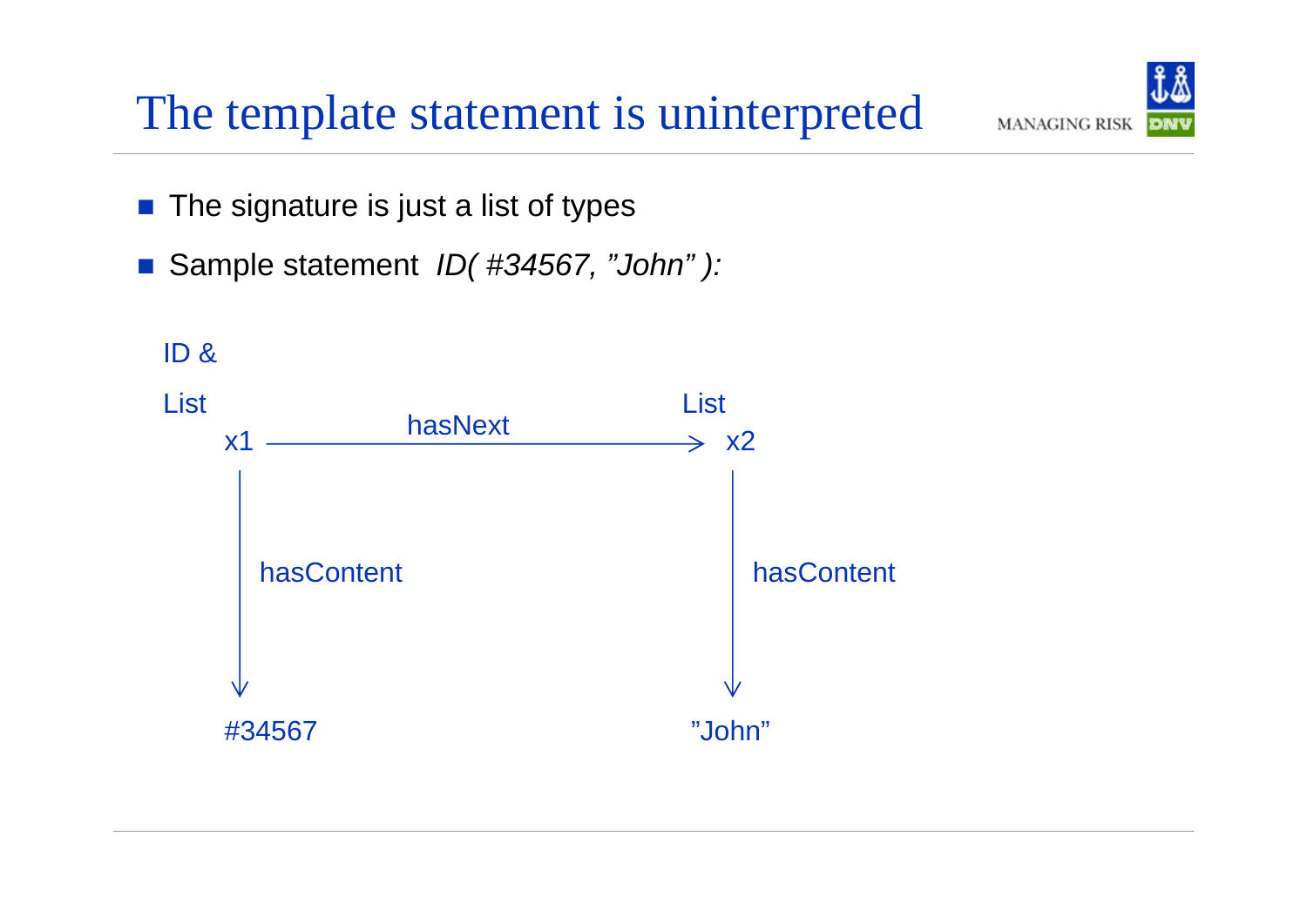#### The template statement is uninterpreted

- $\begin{bmatrix} 1 \\ 1 \end{bmatrix}$ The signature is just a list of types
- $\mathcal{L}^{\text{max}}_{\text{max}}$ Sample statement *ID( #34567, "John" ):*



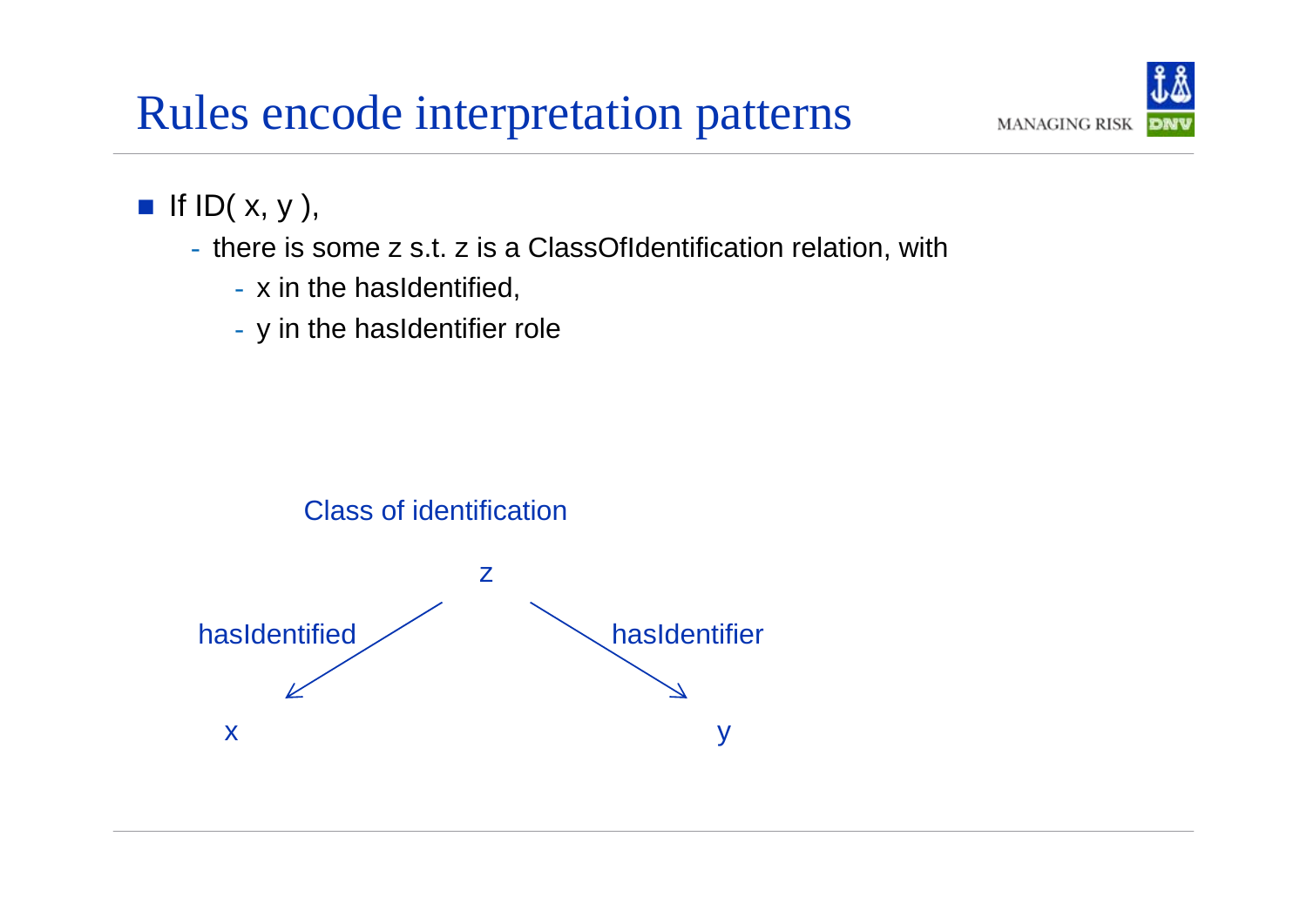#### Rules encode interpretation patterns



#### If  $ID(x, y)$ ,

- there is some z s.t. z is a ClassOfIdentification relation, with
	- x in the hasIdentified,
	- y in the hasIdentifier role

#### Class of identification

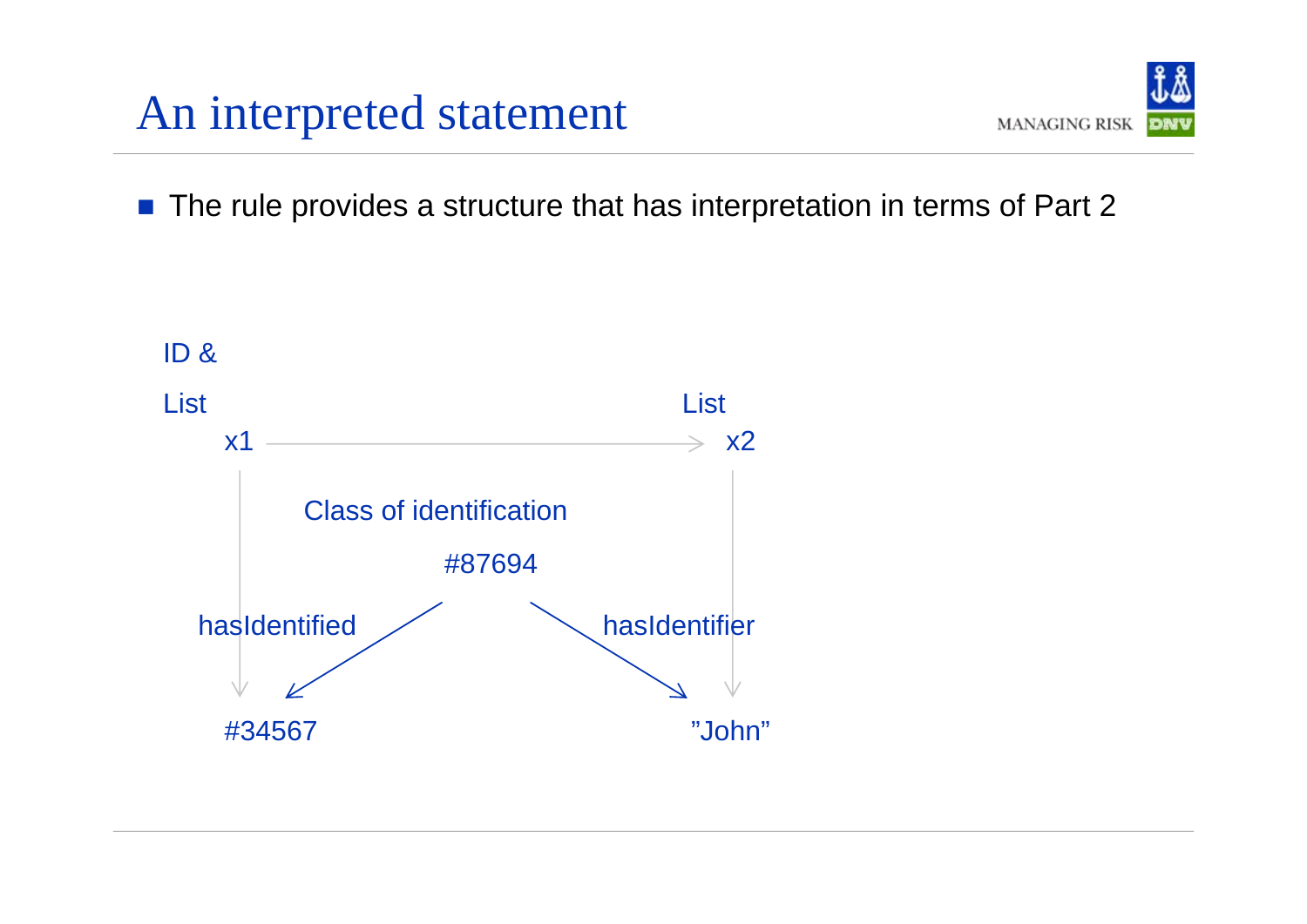#### An interpreted statement



■ The rule provides a structure that has interpretation in terms of Part 2

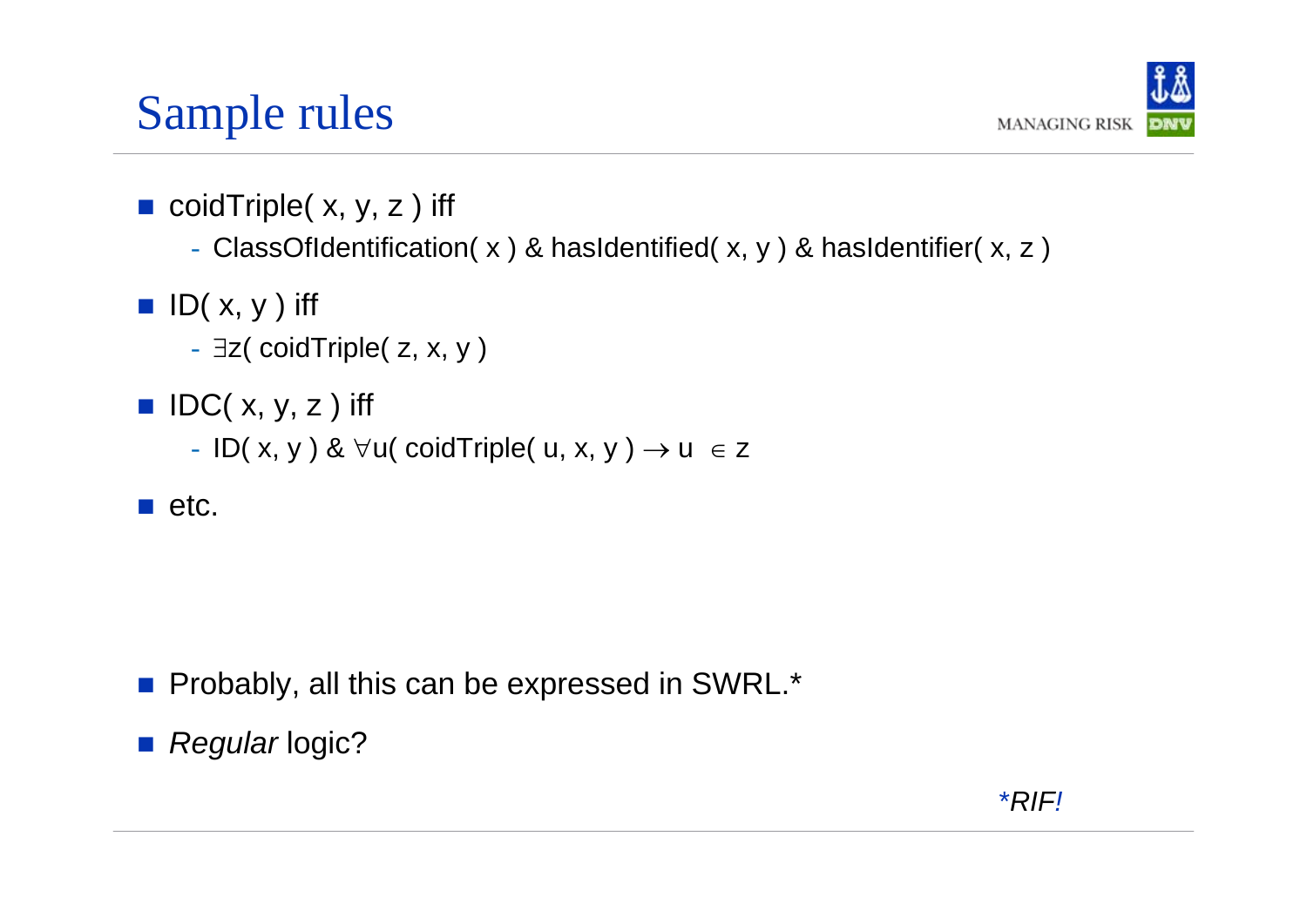## Sample rules



- coidTriple( x, y, z ) iff
	- ClassOfIdentification( x ) & hasIdentified( x, y ) & hasIdentifier( x, z )
- $\blacksquare$  ID( x, y ) iff
	- ∃z( coidTriple( z, x, y )
- $\blacksquare$  IDC( x, y, z ) iff
	- ID( x, y ) &  $\forall$ u( coidTriple( u, x, y ) → u  $\;\in$  z
- $\blacksquare$  etc.

- $\mathbb{R}^2$ Probably, all this can be expressed in SWRL.\*
- *Regular* logic?

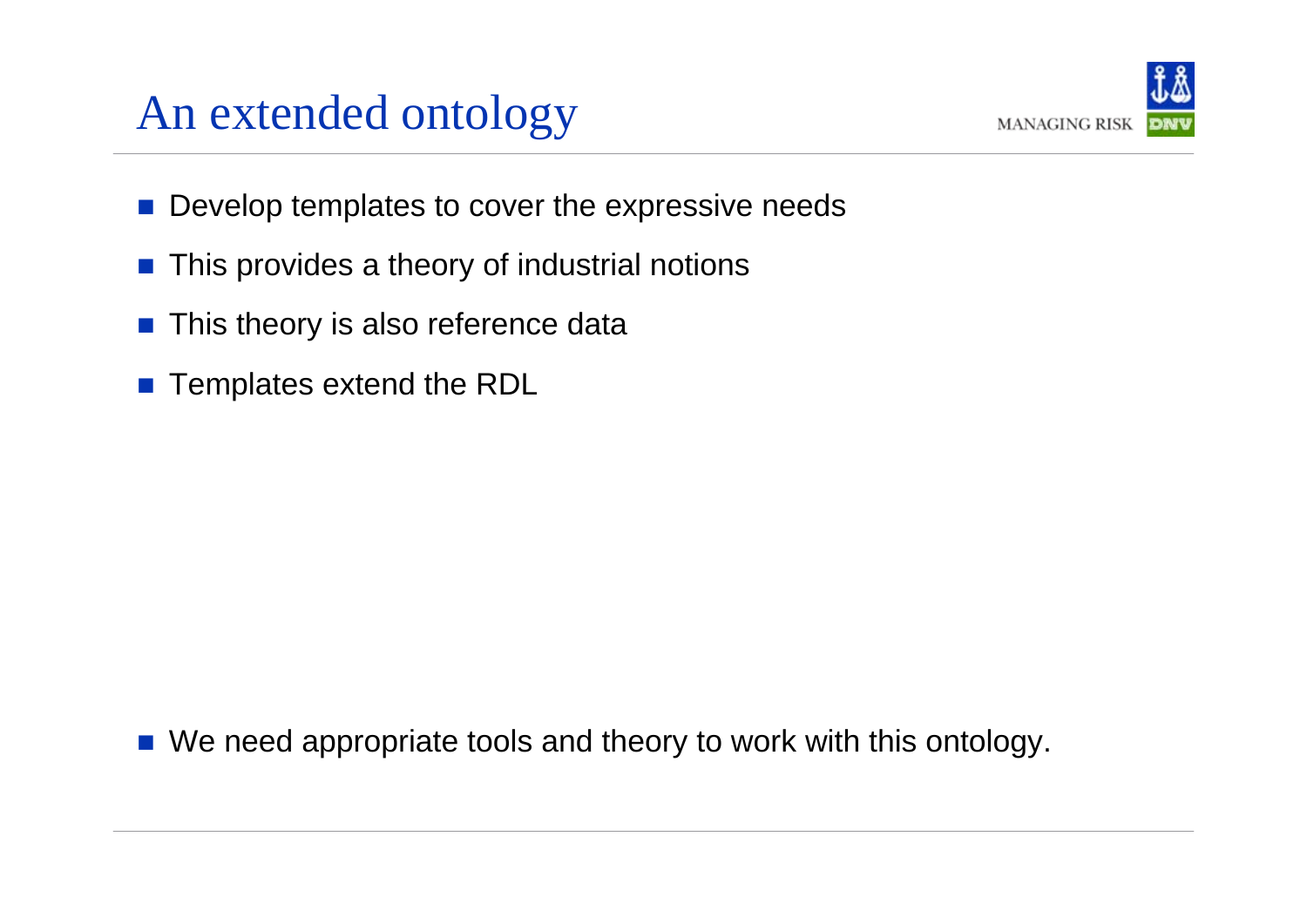#### An extended ontology



- $\mathbb{R}^3$ Develop templates to cover the expressive needs
- $\mathbb{R}^2$ This provides a theory of industrial notions
- $\left\vert \cdot\right\vert$ This theory is also reference data
- Templates extend the RDL

b. We need appropriate tools and theory to work with this ontology.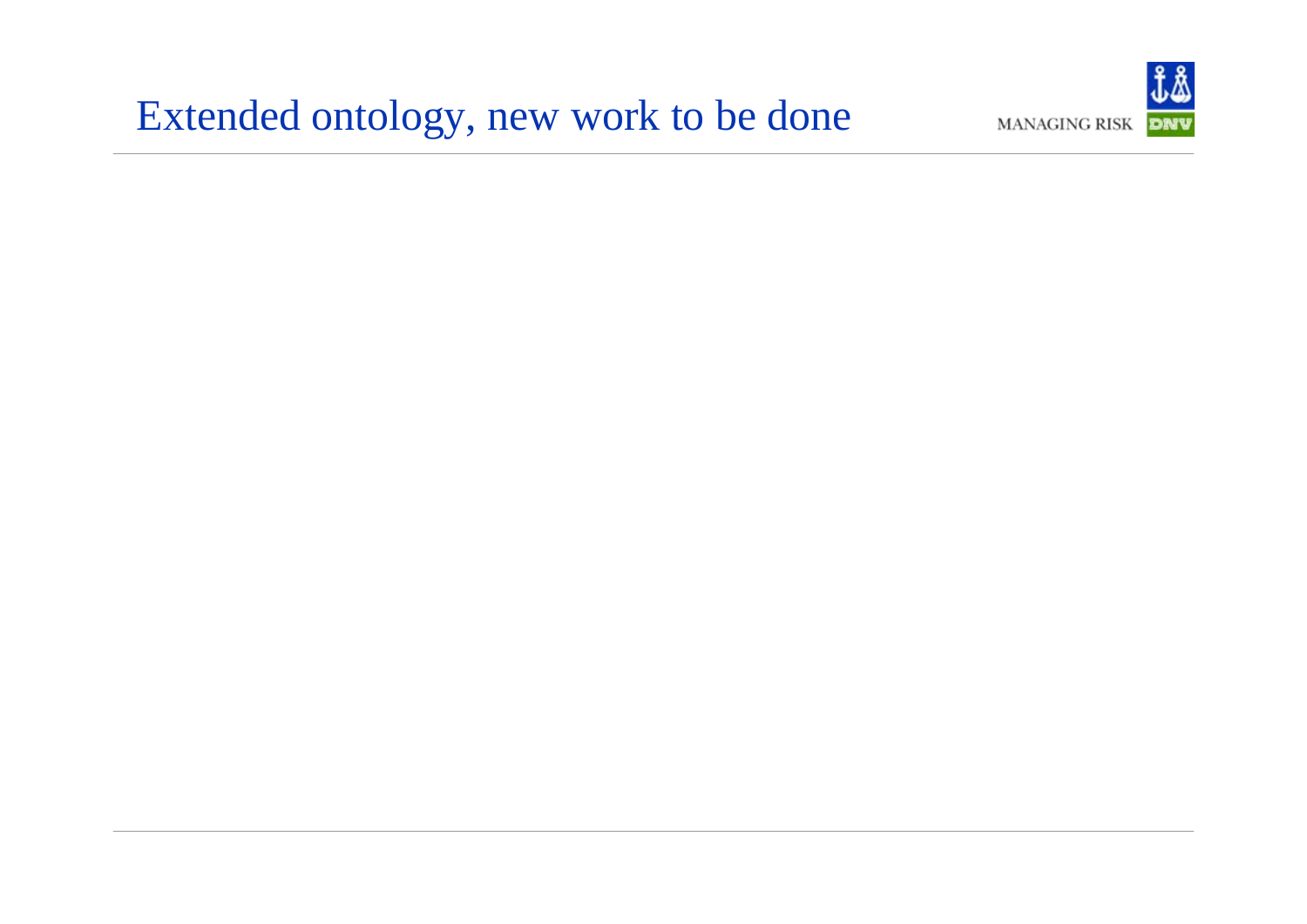#### Extended ontology, new work to be done

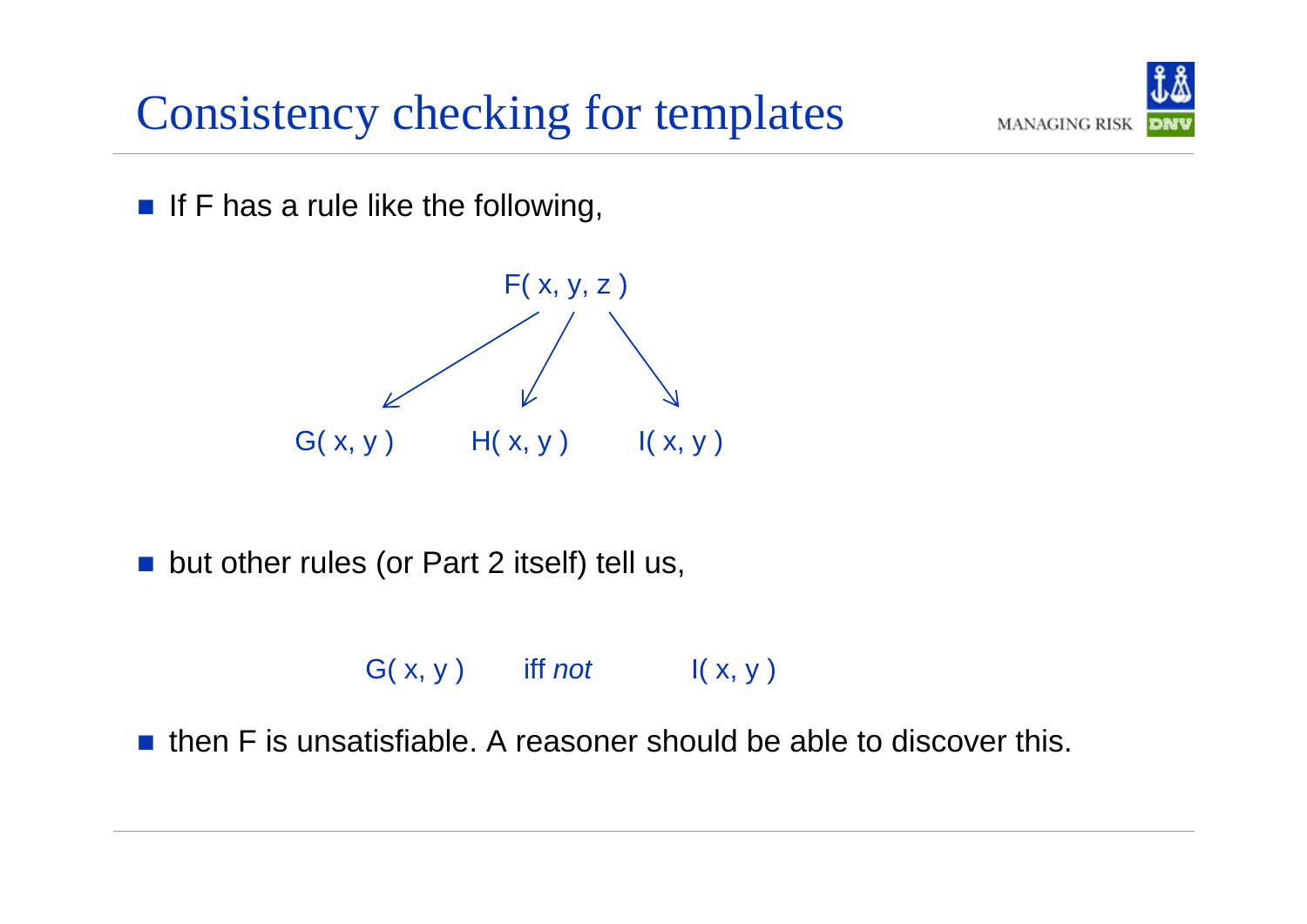#### Consistency checking for templates

 $\blacksquare$  If F has a rule like the following,



 $\left\vert \left\langle \cdot \right\rangle \right\vert$ but other rules (or Part 2 itself) tell us,

G( x, y ) iff *not* I( x, y )

 $\mathcal{L}^{\text{max}}$ then F is unsatisfiable. A reasoner should be able to discover this.

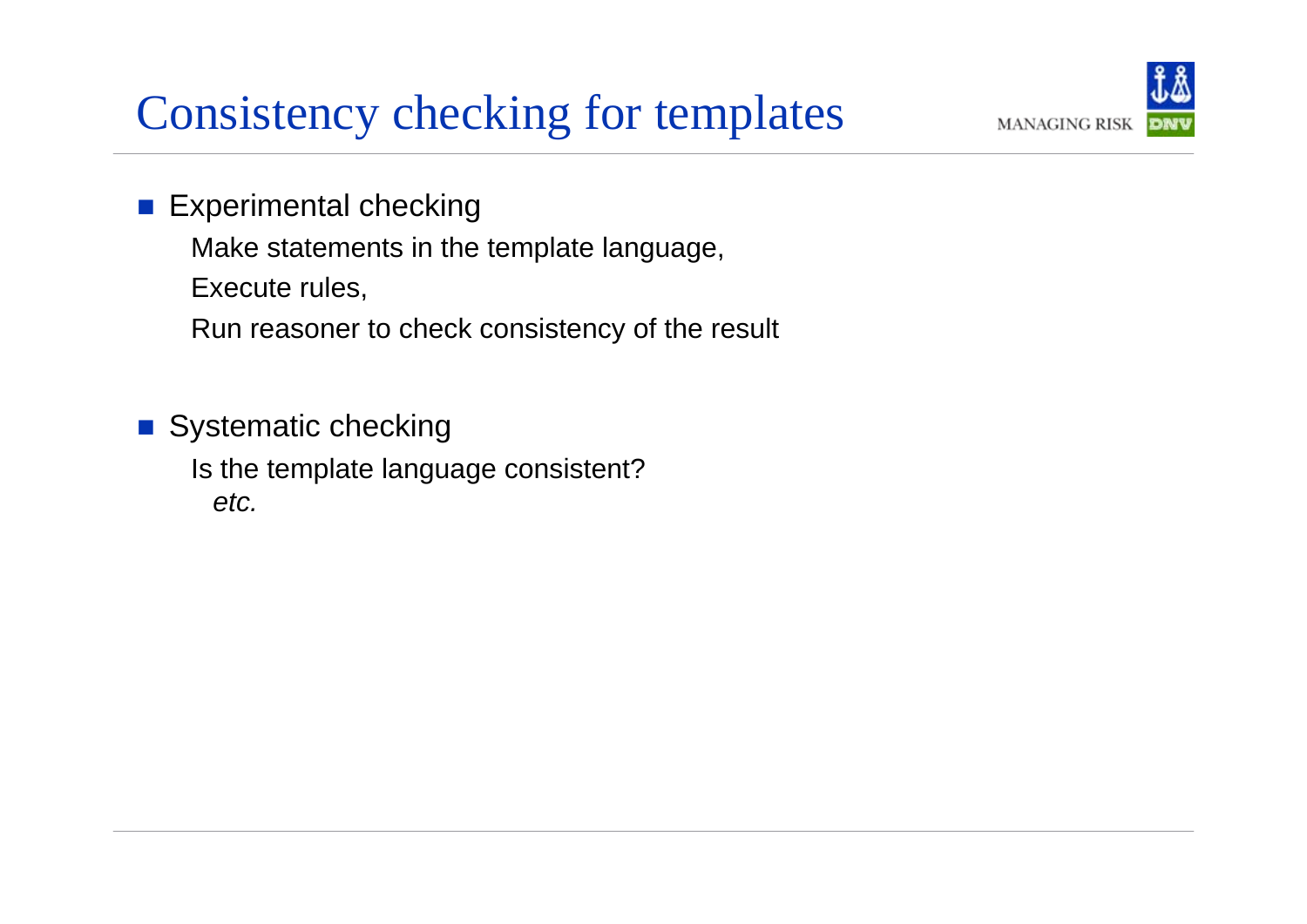#### Consistency checking for templates



- $\mathcal{L}(\mathcal{A})$  Experimental checking
	- Make statements in the template language,
	- Execute rules,
	- Run reasoner to check consistency of the result
- Systematic checking Is the template language consistent? *etc.*